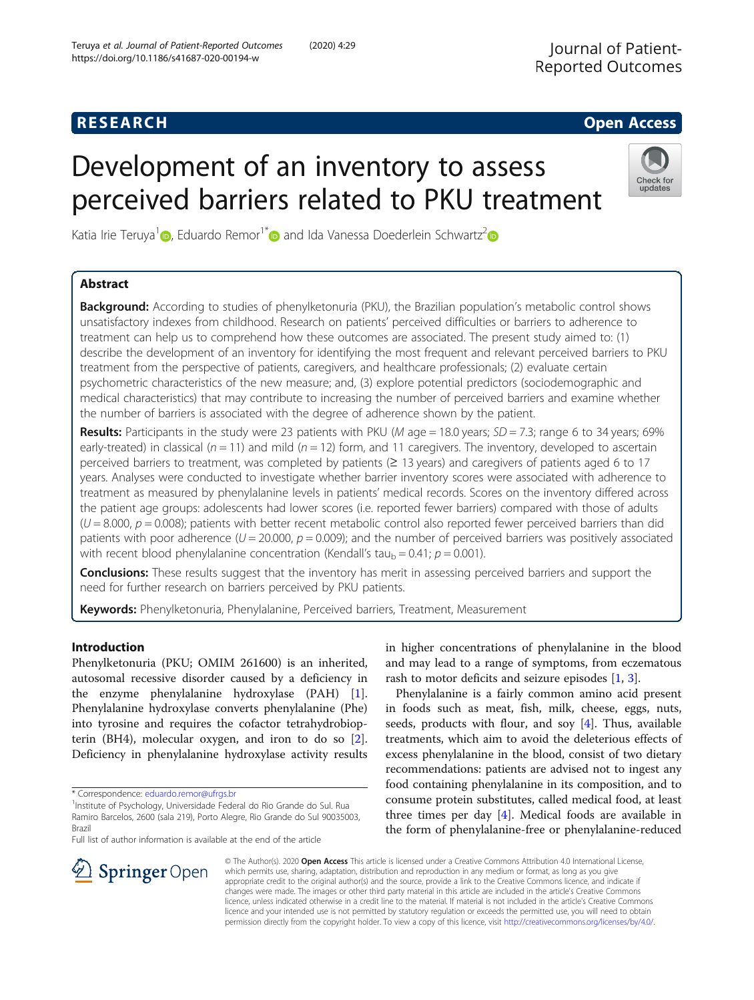# **RESEARCH CHE Open Access**

# Development of an inventory to assess perceived barriers related to PKU treatment



Katia Irie Teruya<sup>[1](https://orcid.org/0000-0002-4481-0086)</sup> <sub>(b</sub>, Eduardo Remor<sup>1[\\*](https://orcid.org/0000-0002-5393-8700)</sup> and Ida Vanessa Doederlein Schwartz<sup>[2](https://orcid.org/0000-0002-7933-6687)</sup> (b

# Abstract

Background: According to studies of phenylketonuria (PKU), the Brazilian population's metabolic control shows unsatisfactory indexes from childhood. Research on patients' perceived difficulties or barriers to adherence to treatment can help us to comprehend how these outcomes are associated. The present study aimed to: (1) describe the development of an inventory for identifying the most frequent and relevant perceived barriers to PKU treatment from the perspective of patients, caregivers, and healthcare professionals; (2) evaluate certain psychometric characteristics of the new measure; and, (3) explore potential predictors (sociodemographic and medical characteristics) that may contribute to increasing the number of perceived barriers and examine whether the number of barriers is associated with the degree of adherence shown by the patient.

Results: Participants in the study were 23 patients with PKU (M age = 18.0 years;  $SD = 7.3$ ; range 6 to 34 years; 69% early-treated) in classical ( $n = 11$ ) and mild ( $n = 12$ ) form, and 11 caregivers. The inventory, developed to ascertain perceived barriers to treatment, was completed by patients (≥ 13 years) and caregivers of patients aged 6 to 17 years. Analyses were conducted to investigate whether barrier inventory scores were associated with adherence to treatment as measured by phenylalanine levels in patients' medical records. Scores on the inventory differed across the patient age groups: adolescents had lower scores (i.e. reported fewer barriers) compared with those of adults  $(U = 8.000, p = 0.008)$ ; patients with better recent metabolic control also reported fewer perceived barriers than did patients with poor adherence ( $U = 20.000$ ,  $p = 0.009$ ); and the number of perceived barriers was positively associated with recent blood phenylalanine concentration (Kendall's tau<sub>b</sub> = 0.41;  $p = 0.001$ ).

**Conclusions:** These results suggest that the inventory has merit in assessing perceived barriers and support the need for further research on barriers perceived by PKU patients.

Keywords: Phenylketonuria, Phenylalanine, Perceived barriers, Treatment, Measurement

# Introduction

Phenylketonuria (PKU; OMIM 261600) is an inherited, autosomal recessive disorder caused by a deficiency in the enzyme phenylalanine hydroxylase (PAH) [\[1](#page-12-0)]. Phenylalanine hydroxylase converts phenylalanine (Phe) into tyrosine and requires the cofactor tetrahydrobiopterin (BH4), molecular oxygen, and iron to do so [\[2](#page-12-0)]. Deficiency in phenylalanine hydroxylase activity results

Full list of author information is available at the end of the article

in higher concentrations of phenylalanine in the blood and may lead to a range of symptoms, from eczematous rash to motor deficits and seizure episodes [\[1,](#page-12-0) [3\]](#page-12-0).

Phenylalanine is a fairly common amino acid present in foods such as meat, fish, milk, cheese, eggs, nuts, seeds, products with flour, and soy [[4\]](#page-13-0). Thus, available treatments, which aim to avoid the deleterious effects of excess phenylalanine in the blood, consist of two dietary recommendations: patients are advised not to ingest any food containing phenylalanine in its composition, and to consume protein substitutes, called medical food, at least three times per day  $[4]$ . Medical foods are available in the form of phenylalanine-free or phenylalanine-reduced



© The Author(s). 2020 Open Access This article is licensed under a Creative Commons Attribution 4.0 International License, which permits use, sharing, adaptation, distribution and reproduction in any medium or format, as long as you give appropriate credit to the original author(s) and the source, provide a link to the Creative Commons licence, and indicate if changes were made. The images or other third party material in this article are included in the article's Creative Commons licence, unless indicated otherwise in a credit line to the material. If material is not included in the article's Creative Commons licence and your intended use is not permitted by statutory regulation or exceeds the permitted use, you will need to obtain permission directly from the copyright holder. To view a copy of this licence, visit <http://creativecommons.org/licenses/by/4.0/>.

<sup>\*</sup> Correspondence: [eduardo.remor@ufrgs.br](mailto:eduardo.remor@ufrgs.br) <sup>1</sup>

<sup>&</sup>lt;sup>1</sup>Institute of Psychology, Universidade Federal do Rio Grande do Sul. Rua Ramiro Barcelos, 2600 (sala 219), Porto Alegre, Rio Grande do Sul 90035003, Brazil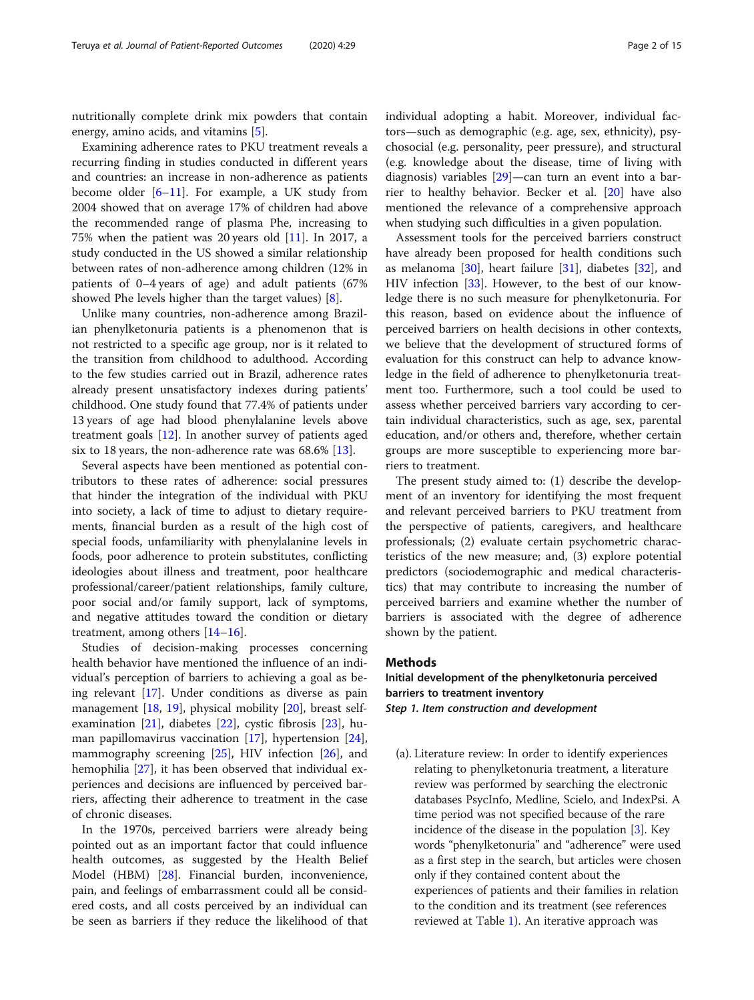nutritionally complete drink mix powders that contain energy, amino acids, and vitamins [\[5](#page-13-0)].

Examining adherence rates to PKU treatment reveals a recurring finding in studies conducted in different years and countries: an increase in non-adherence as patients become older [\[6](#page-13-0)–[11\]](#page-13-0). For example, a UK study from 2004 showed that on average 17% of children had above the recommended range of plasma Phe, increasing to 75% when the patient was 20 years old  $[11]$  $[11]$ . In 2017, a study conducted in the US showed a similar relationship between rates of non-adherence among children (12% in patients of 0–4 years of age) and adult patients (67% showed Phe levels higher than the target values) [\[8](#page-13-0)].

Unlike many countries, non-adherence among Brazilian phenylketonuria patients is a phenomenon that is not restricted to a specific age group, nor is it related to the transition from childhood to adulthood. According to the few studies carried out in Brazil, adherence rates already present unsatisfactory indexes during patients' childhood. One study found that 77.4% of patients under 13 years of age had blood phenylalanine levels above treatment goals [[12\]](#page-13-0). In another survey of patients aged six to 18 years, the non-adherence rate was 68.6% [[13\]](#page-13-0).

Several aspects have been mentioned as potential contributors to these rates of adherence: social pressures that hinder the integration of the individual with PKU into society, a lack of time to adjust to dietary requirements, financial burden as a result of the high cost of special foods, unfamiliarity with phenylalanine levels in foods, poor adherence to protein substitutes, conflicting ideologies about illness and treatment, poor healthcare professional/career/patient relationships, family culture, poor social and/or family support, lack of symptoms, and negative attitudes toward the condition or dietary treatment, among others [\[14](#page-13-0)–[16\]](#page-13-0).

Studies of decision-making processes concerning health behavior have mentioned the influence of an individual's perception of barriers to achieving a goal as being relevant [[17\]](#page-13-0). Under conditions as diverse as pain management [\[18,](#page-13-0) [19](#page-13-0)], physical mobility [[20](#page-13-0)], breast selfexamination [\[21](#page-13-0)], diabetes [\[22\]](#page-13-0), cystic fibrosis [\[23\]](#page-13-0), human papillomavirus vaccination [\[17](#page-13-0)], hypertension [\[24](#page-13-0)], mammography screening  $[25]$  $[25]$ , HIV infection  $[26]$  $[26]$  $[26]$ , and hemophilia [[27\]](#page-13-0), it has been observed that individual experiences and decisions are influenced by perceived barriers, affecting their adherence to treatment in the case of chronic diseases.

In the 1970s, perceived barriers were already being pointed out as an important factor that could influence health outcomes, as suggested by the Health Belief Model (HBM) [[28\]](#page-13-0). Financial burden, inconvenience, pain, and feelings of embarrassment could all be considered costs, and all costs perceived by an individual can be seen as barriers if they reduce the likelihood of that individual adopting a habit. Moreover, individual factors—such as demographic (e.g. age, sex, ethnicity), psychosocial (e.g. personality, peer pressure), and structural (e.g. knowledge about the disease, time of living with diagnosis) variables [[29\]](#page-13-0)—can turn an event into a barrier to healthy behavior. Becker et al. [\[20\]](#page-13-0) have also mentioned the relevance of a comprehensive approach when studying such difficulties in a given population.

Assessment tools for the perceived barriers construct have already been proposed for health conditions such as melanoma [\[30\]](#page-13-0), heart failure [[31](#page-13-0)], diabetes [\[32](#page-13-0)], and HIV infection [[33\]](#page-13-0). However, to the best of our knowledge there is no such measure for phenylketonuria. For this reason, based on evidence about the influence of perceived barriers on health decisions in other contexts, we believe that the development of structured forms of evaluation for this construct can help to advance knowledge in the field of adherence to phenylketonuria treatment too. Furthermore, such a tool could be used to assess whether perceived barriers vary according to certain individual characteristics, such as age, sex, parental education, and/or others and, therefore, whether certain groups are more susceptible to experiencing more barriers to treatment.

The present study aimed to: (1) describe the development of an inventory for identifying the most frequent and relevant perceived barriers to PKU treatment from the perspective of patients, caregivers, and healthcare professionals; (2) evaluate certain psychometric characteristics of the new measure; and, (3) explore potential predictors (sociodemographic and medical characteristics) that may contribute to increasing the number of perceived barriers and examine whether the number of barriers is associated with the degree of adherence shown by the patient.

#### Methods

Initial development of the phenylketonuria perceived barriers to treatment inventory Step 1. Item construction and development

(a). Literature review: In order to identify experiences relating to phenylketonuria treatment, a literature review was performed by searching the electronic databases PsycInfo, Medline, Scielo, and IndexPsi. A time period was not specified because of the rare incidence of the disease in the population [\[3\]](#page-12-0). Key words "phenylketonuria" and "adherence" were used as a first step in the search, but articles were chosen only if they contained content about the experiences of patients and their families in relation to the condition and its treatment (see references reviewed at Table [1](#page-2-0)). An iterative approach was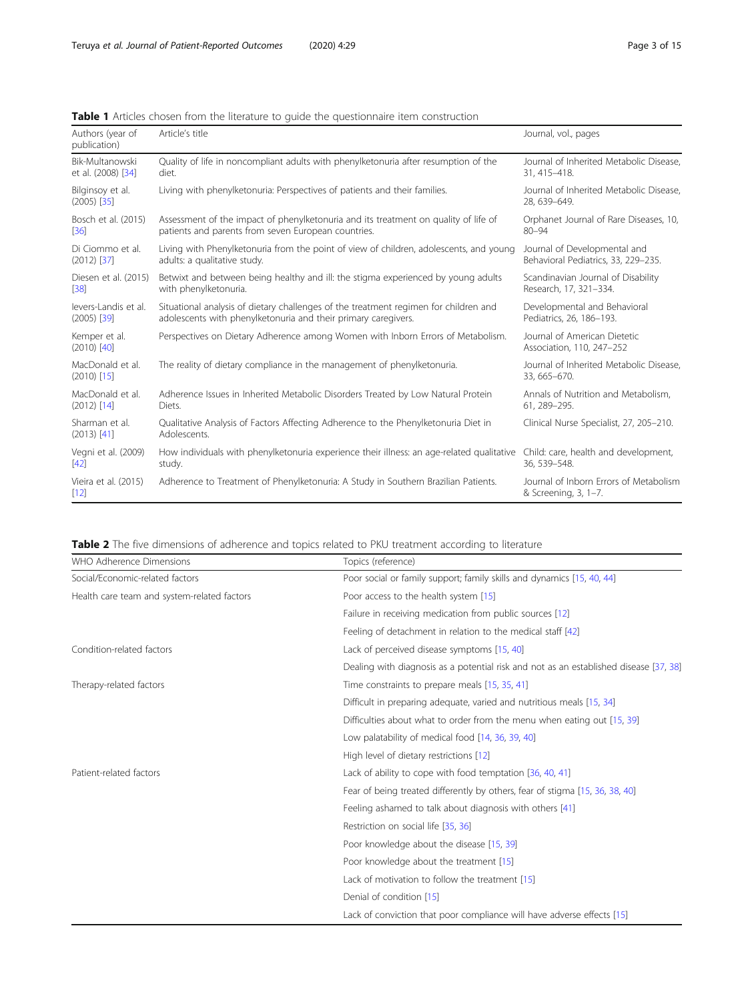<span id="page-2-0"></span>

|  |  |  |  | <b>Table 1</b> Articles chosen from the literature to quide the questionnaire item construction |  |
|--|--|--|--|-------------------------------------------------------------------------------------------------|--|
|  |  |  |  |                                                                                                 |  |

| Authors (year of<br>publication)  | Article's title                                                                                    | Journal, vol., pages                                           |
|-----------------------------------|----------------------------------------------------------------------------------------------------|----------------------------------------------------------------|
| Bik-Multanowski                   | Quality of life in noncompliant adults with phenylketonuria after resumption of the                | Journal of Inherited Metabolic Disease.                        |
| et al. (2008) [34]                | diet.                                                                                              | 31, 415-418.                                                   |
| Bilginsoy et al.<br>$(2005)$ [35] | Living with phenylketonuria: Perspectives of patients and their families.                          | Journal of Inherited Metabolic Disease.<br>28.639-649.         |
| Bosch et al. (2015)               | Assessment of the impact of phenylketonuria and its treatment on quality of life of                | Orphanet Journal of Rare Diseases, 10,                         |
| [36]                              | patients and parents from seven European countries.                                                | $80 - 94$                                                      |
| Di Ciommo et al.                  | Living with Phenylketonuria from the point of view of children, adolescents, and young             | Journal of Developmental and                                   |
| $(2012)$ [37]                     | adults: a qualitative study.                                                                       | Behavioral Pediatrics, 33, 229-235.                            |
| Diesen et al. (2015)              | Betwixt and between being healthy and ill: the stigma experienced by young adults                  | Scandinavian Journal of Disability                             |
| $[38]$                            | with phenylketonuria.                                                                              | Research, 17, 321-334.                                         |
| levers-Landis et al.              | Situational analysis of dietary challenges of the treatment regimen for children and               | Developmental and Behavioral                                   |
| $(2005)$ [39]                     | adolescents with phenylketonuria and their primary caregivers.                                     | Pediatrics, 26, 186-193.                                       |
| Kemper et al.<br>$(2010)$ [40]    | Perspectives on Dietary Adherence among Women with Inborn Errors of Metabolism.                    | Journal of American Dietetic<br>Association, 110, 247-252      |
| MacDonald et al.<br>$(2010)$ [15] | The reality of dietary compliance in the management of phenylketonuria.                            | Journal of Inherited Metabolic Disease,<br>33, 665-670.        |
| MacDonald et al.                  | Adherence Issues in Inherited Metabolic Disorders Treated by Low Natural Protein                   | Annals of Nutrition and Metabolism,                            |
| $(2012)$ [14]                     | Diets.                                                                                             | 61, 289-295.                                                   |
| Sharman et al.<br>$(2013)$ [41]   | Qualitative Analysis of Factors Affecting Adherence to the Phenylketonuria Diet in<br>Adolescents. | Clinical Nurse Specialist, 27, 205-210.                        |
| Vegni et al. (2009)               | How individuals with phenylketonuria experience their illness: an age-related qualitative          | Child: care, health and development,                           |
| $[42]$                            | study.                                                                                             | 36, 539-548.                                                   |
| Vieira et al. (2015)<br>$[12]$    | Adherence to Treatment of Phenylketonuria: A Study in Southern Brazilian Patients.                 | Journal of Inborn Errors of Metabolism<br>& Screening, 3, 1-7. |

Table 2 The five dimensions of adherence and topics related to PKU treatment according to literature

| WHO Adherence Dimensions                    | Topics (reference)                                                                    |  |  |
|---------------------------------------------|---------------------------------------------------------------------------------------|--|--|
| Social/Economic-related factors             | Poor social or family support; family skills and dynamics [15, 40, 44]                |  |  |
| Health care team and system-related factors | Poor access to the health system [15]                                                 |  |  |
|                                             | Failure in receiving medication from public sources [12]                              |  |  |
|                                             | Feeling of detachment in relation to the medical staff [42]                           |  |  |
| Condition-related factors                   | Lack of perceived disease symptoms [15, 40]                                           |  |  |
|                                             | Dealing with diagnosis as a potential risk and not as an established disease [37, 38] |  |  |
| Therapy-related factors                     | Time constraints to prepare meals [15, 35, 41]                                        |  |  |
|                                             | Difficult in preparing adequate, varied and nutritious meals [15, 34]                 |  |  |
|                                             | Difficulties about what to order from the menu when eating out [15, 39]               |  |  |
|                                             | Low palatability of medical food [14, 36, 39, 40]                                     |  |  |
|                                             | High level of dietary restrictions [12]                                               |  |  |
| Patient-related factors                     | Lack of ability to cope with food temptation [36, 40, 41]                             |  |  |
|                                             | Fear of being treated differently by others, fear of stigma [15, 36, 38, 40]          |  |  |
|                                             | Feeling ashamed to talk about diagnosis with others [41]                              |  |  |
|                                             | Restriction on social life [35, 36]                                                   |  |  |
|                                             | Poor knowledge about the disease [15, 39]                                             |  |  |
|                                             | Poor knowledge about the treatment [15]                                               |  |  |
|                                             | Lack of motivation to follow the treatment [15]                                       |  |  |
|                                             | Denial of condition [15]                                                              |  |  |
|                                             | Lack of conviction that poor compliance will have adverse effects [15]                |  |  |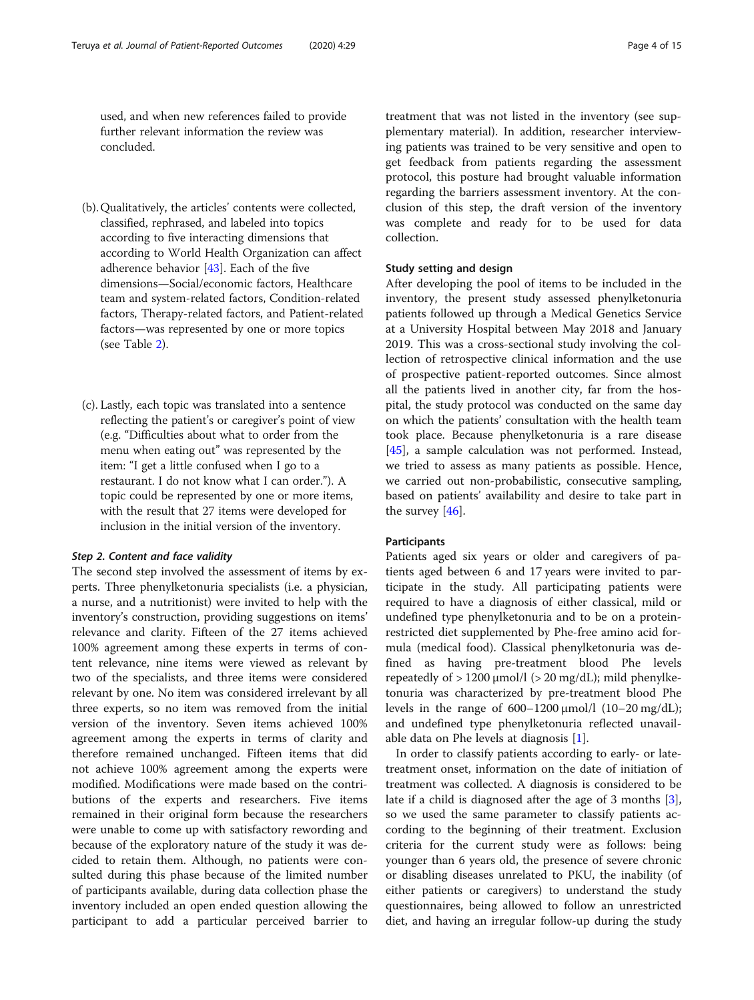used, and when new references failed to provide further relevant information the review was concluded.

- (b).Qualitatively, the articles' contents were collected, classified, rephrased, and labeled into topics according to five interacting dimensions that according to World Health Organization can affect adherence behavior [[43\]](#page-14-0). Each of the five dimensions—Social/economic factors, Healthcare team and system-related factors, Condition-related factors, Therapy-related factors, and Patient-related factors—was represented by one or more topics (see Table [2\)](#page-2-0).
- (c). Lastly, each topic was translated into a sentence reflecting the patient's or caregiver's point of view (e.g. "Difficulties about what to order from the menu when eating out" was represented by the item: "I get a little confused when I go to a restaurant. I do not know what I can order."). A topic could be represented by one or more items, with the result that 27 items were developed for inclusion in the initial version of the inventory.

#### Step 2. Content and face validity

The second step involved the assessment of items by experts. Three phenylketonuria specialists (i.e. a physician, a nurse, and a nutritionist) were invited to help with the inventory's construction, providing suggestions on items' relevance and clarity. Fifteen of the 27 items achieved 100% agreement among these experts in terms of content relevance, nine items were viewed as relevant by two of the specialists, and three items were considered relevant by one. No item was considered irrelevant by all three experts, so no item was removed from the initial version of the inventory. Seven items achieved 100% agreement among the experts in terms of clarity and therefore remained unchanged. Fifteen items that did not achieve 100% agreement among the experts were modified. Modifications were made based on the contributions of the experts and researchers. Five items remained in their original form because the researchers were unable to come up with satisfactory rewording and because of the exploratory nature of the study it was decided to retain them. Although, no patients were consulted during this phase because of the limited number of participants available, during data collection phase the inventory included an open ended question allowing the participant to add a particular perceived barrier to

treatment that was not listed in the inventory (see supplementary material). In addition, researcher interviewing patients was trained to be very sensitive and open to get feedback from patients regarding the assessment protocol, this posture had brought valuable information regarding the barriers assessment inventory. At the conclusion of this step, the draft version of the inventory was complete and ready for to be used for data collection.

#### Study setting and design

After developing the pool of items to be included in the inventory, the present study assessed phenylketonuria patients followed up through a Medical Genetics Service at a University Hospital between May 2018 and January 2019. This was a cross-sectional study involving the collection of retrospective clinical information and the use of prospective patient-reported outcomes. Since almost all the patients lived in another city, far from the hospital, the study protocol was conducted on the same day on which the patients' consultation with the health team took place. Because phenylketonuria is a rare disease [[45\]](#page-14-0), a sample calculation was not performed. Instead, we tried to assess as many patients as possible. Hence, we carried out non-probabilistic, consecutive sampling, based on patients' availability and desire to take part in the survey  $[46]$  $[46]$ .

#### Participants

Patients aged six years or older and caregivers of patients aged between 6 and 17 years were invited to participate in the study. All participating patients were required to have a diagnosis of either classical, mild or undefined type phenylketonuria and to be on a proteinrestricted diet supplemented by Phe-free amino acid formula (medical food). Classical phenylketonuria was defined as having pre-treatment blood Phe levels repeatedly of  $> 1200 \mu$ mol/l ( $> 20 \mu$ g/dL); mild phenylketonuria was characterized by pre-treatment blood Phe levels in the range of  $600-1200 \mu$ mol/l  $(10-20 \mu)$ ; and undefined type phenylketonuria reflected unavailable data on Phe levels at diagnosis [\[1](#page-12-0)].

In order to classify patients according to early- or latetreatment onset, information on the date of initiation of treatment was collected. A diagnosis is considered to be late if a child is diagnosed after the age of 3 months [\[3](#page-12-0)], so we used the same parameter to classify patients according to the beginning of their treatment. Exclusion criteria for the current study were as follows: being younger than 6 years old, the presence of severe chronic or disabling diseases unrelated to PKU, the inability (of either patients or caregivers) to understand the study questionnaires, being allowed to follow an unrestricted diet, and having an irregular follow-up during the study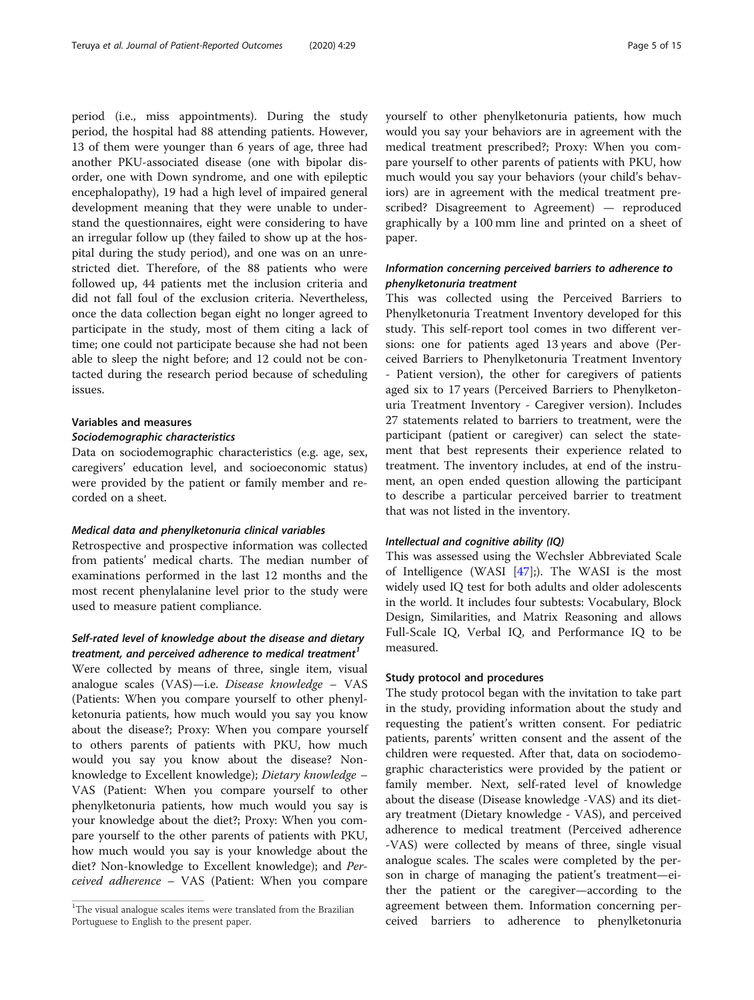period (i.e., miss appointments). During the study period, the hospital had 88 attending patients. However, 13 of them were younger than 6 years of age, three had another PKU-associated disease (one with bipolar disorder, one with Down syndrome, and one with epileptic encephalopathy), 19 had a high level of impaired general development meaning that they were unable to understand the questionnaires, eight were considering to have an irregular follow up (they failed to show up at the hospital during the study period), and one was on an unrestricted diet. Therefore, of the 88 patients who were followed up, 44 patients met the inclusion criteria and did not fall foul of the exclusion criteria. Nevertheless, once the data collection began eight no longer agreed to participate in the study, most of them citing a lack of time; one could not participate because she had not been able to sleep the night before; and 12 could not be contacted during the research period because of scheduling issues.

#### Variables and measures

#### Sociodemographic characteristics

Data on sociodemographic characteristics (e.g. age, sex, caregivers' education level, and socioeconomic status) were provided by the patient or family member and recorded on a sheet.

#### Medical data and phenylketonuria clinical variables

Retrospective and prospective information was collected from patients' medical charts. The median number of examinations performed in the last 12 months and the most recent phenylalanine level prior to the study were used to measure patient compliance.

#### Self-rated level of knowledge about the disease and dietary treatment, and perceived adherence to medical treatment<sup>1</sup>

Were collected by means of three, single item, visual analogue scales (VAS)—i.e. Disease knowledge – VAS (Patients: When you compare yourself to other phenylketonuria patients, how much would you say you know about the disease?; Proxy: When you compare yourself to others parents of patients with PKU, how much would you say you know about the disease? Nonknowledge to Excellent knowledge); Dietary knowledge – VAS (Patient: When you compare yourself to other phenylketonuria patients, how much would you say is your knowledge about the diet?; Proxy: When you compare yourself to the other parents of patients with PKU, how much would you say is your knowledge about the diet? Non-knowledge to Excellent knowledge); and Perceived adherence – VAS (Patient: When you compare yourself to other phenylketonuria patients, how much would you say your behaviors are in agreement with the medical treatment prescribed?; Proxy: When you compare yourself to other parents of patients with PKU, how much would you say your behaviors (your child's behaviors) are in agreement with the medical treatment prescribed? Disagreement to Agreement) — reproduced graphically by a 100 mm line and printed on a sheet of paper.

#### Information concerning perceived barriers to adherence to phenylketonuria treatment

This was collected using the Perceived Barriers to Phenylketonuria Treatment Inventory developed for this study. This self-report tool comes in two different versions: one for patients aged 13 years and above (Perceived Barriers to Phenylketonuria Treatment Inventory - Patient version), the other for caregivers of patients aged six to 17 years (Perceived Barriers to Phenylketonuria Treatment Inventory - Caregiver version). Includes 27 statements related to barriers to treatment, were the participant (patient or caregiver) can select the statement that best represents their experience related to treatment. The inventory includes, at end of the instrument, an open ended question allowing the participant to describe a particular perceived barrier to treatment that was not listed in the inventory.

#### Intellectual and cognitive ability (IQ)

This was assessed using the Wechsler Abbreviated Scale of Intelligence (WASI [[47](#page-14-0)];). The WASI is the most widely used IQ test for both adults and older adolescents in the world. It includes four subtests: Vocabulary, Block Design, Similarities, and Matrix Reasoning and allows Full-Scale IQ, Verbal IQ, and Performance IQ to be measured.

### Study protocol and procedures

The study protocol began with the invitation to take part in the study, providing information about the study and requesting the patient's written consent. For pediatric patients, parents' written consent and the assent of the children were requested. After that, data on sociodemographic characteristics were provided by the patient or family member. Next, self-rated level of knowledge about the disease (Disease knowledge -VAS) and its dietary treatment (Dietary knowledge - VAS), and perceived adherence to medical treatment (Perceived adherence -VAS) were collected by means of three, single visual analogue scales. The scales were completed by the person in charge of managing the patient's treatment—either the patient or the caregiver—according to the agreement between them. Information concerning perceived barriers to adherence to phenylketonuria

 $1$ The visual analogue scales items were translated from the Brazilian Portuguese to English to the present paper.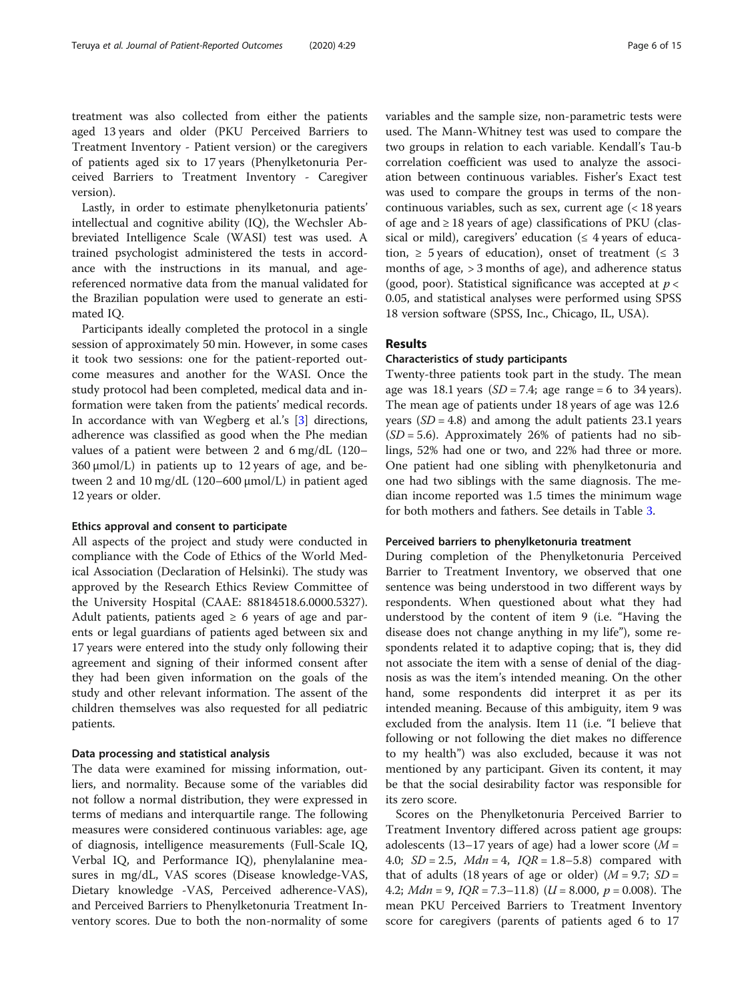treatment was also collected from either the patients aged 13 years and older (PKU Perceived Barriers to Treatment Inventory - Patient version) or the caregivers of patients aged six to 17 years (Phenylketonuria Perceived Barriers to Treatment Inventory - Caregiver version).

Lastly, in order to estimate phenylketonuria patients' intellectual and cognitive ability (IQ), the Wechsler Abbreviated Intelligence Scale (WASI) test was used. A trained psychologist administered the tests in accordance with the instructions in its manual, and agereferenced normative data from the manual validated for the Brazilian population were used to generate an estimated IQ.

Participants ideally completed the protocol in a single session of approximately 50 min. However, in some cases it took two sessions: one for the patient-reported outcome measures and another for the WASI. Once the study protocol had been completed, medical data and information were taken from the patients' medical records. In accordance with van Wegberg et al.'s [[3\]](#page-12-0) directions, adherence was classified as good when the Phe median values of a patient were between 2 and 6 mg/dL (120–  $360 \mu$ mol/L) in patients up to 12 years of age, and between 2 and 10 mg/dL (120–600 μmol/L) in patient aged 12 years or older.

#### Ethics approval and consent to participate

All aspects of the project and study were conducted in compliance with the Code of Ethics of the World Medical Association (Declaration of Helsinki). The study was approved by the Research Ethics Review Committee of the University Hospital (CAAE: 88184518.6.0000.5327). Adult patients, patients aged  $\geq 6$  years of age and parents or legal guardians of patients aged between six and 17 years were entered into the study only following their agreement and signing of their informed consent after they had been given information on the goals of the study and other relevant information. The assent of the children themselves was also requested for all pediatric patients.

#### Data processing and statistical analysis

The data were examined for missing information, outliers, and normality. Because some of the variables did not follow a normal distribution, they were expressed in terms of medians and interquartile range. The following measures were considered continuous variables: age, age of diagnosis, intelligence measurements (Full-Scale IQ, Verbal IQ, and Performance IQ), phenylalanine measures in mg/dL, VAS scores (Disease knowledge-VAS, Dietary knowledge -VAS, Perceived adherence-VAS), and Perceived Barriers to Phenylketonuria Treatment Inventory scores. Due to both the non-normality of some variables and the sample size, non-parametric tests were used. The Mann-Whitney test was used to compare the two groups in relation to each variable. Kendall's Tau-b correlation coefficient was used to analyze the association between continuous variables. Fisher's Exact test was used to compare the groups in terms of the noncontinuous variables, such as sex, current age (< 18 years of age and  $\geq 18$  years of age) classifications of PKU (classical or mild), caregivers' education ( $\leq$  4 years of education,  $\geq$  5 years of education), onset of treatment ( $\leq$  3 months of age, > 3 months of age), and adherence status (good, poor). Statistical significance was accepted at  $p <$ 0.05, and statistical analyses were performed using SPSS 18 version software (SPSS, Inc., Chicago, IL, USA).

#### Results

#### Characteristics of study participants

Twenty-three patients took part in the study. The mean age was 18.1 years  $(SD = 7.4;$  age range = 6 to 34 years). The mean age of patients under 18 years of age was 12.6 years  $(SD = 4.8)$  and among the adult patients 23.1 years  $(SD = 5.6)$ . Approximately 26% of patients had no siblings, 52% had one or two, and 22% had three or more. One patient had one sibling with phenylketonuria and one had two siblings with the same diagnosis. The median income reported was 1.5 times the minimum wage for both mothers and fathers. See details in Table [3.](#page-6-0)

#### Perceived barriers to phenylketonuria treatment

During completion of the Phenylketonuria Perceived Barrier to Treatment Inventory, we observed that one sentence was being understood in two different ways by respondents. When questioned about what they had understood by the content of item 9 (i.e. "Having the disease does not change anything in my life"), some respondents related it to adaptive coping; that is, they did not associate the item with a sense of denial of the diagnosis as was the item's intended meaning. On the other hand, some respondents did interpret it as per its intended meaning. Because of this ambiguity, item 9 was excluded from the analysis. Item 11 (i.e. "I believe that following or not following the diet makes no difference to my health") was also excluded, because it was not mentioned by any participant. Given its content, it may be that the social desirability factor was responsible for its zero score.

Scores on the Phenylketonuria Perceived Barrier to Treatment Inventory differed across patient age groups: adolescents (13–17 years of age) had a lower score ( $M =$ 4.0;  $SD = 2.5$ ,  $Mdn = 4$ ,  $IQR = 1.8-5.8$ ) compared with that of adults (18 years of age or older) ( $M = 9.7$ ; SD = 4.2; *Mdn* = 9,  $IQR = 7.3-11.8$ )  $(U = 8.000, p = 0.008)$ . The mean PKU Perceived Barriers to Treatment Inventory score for caregivers (parents of patients aged 6 to 17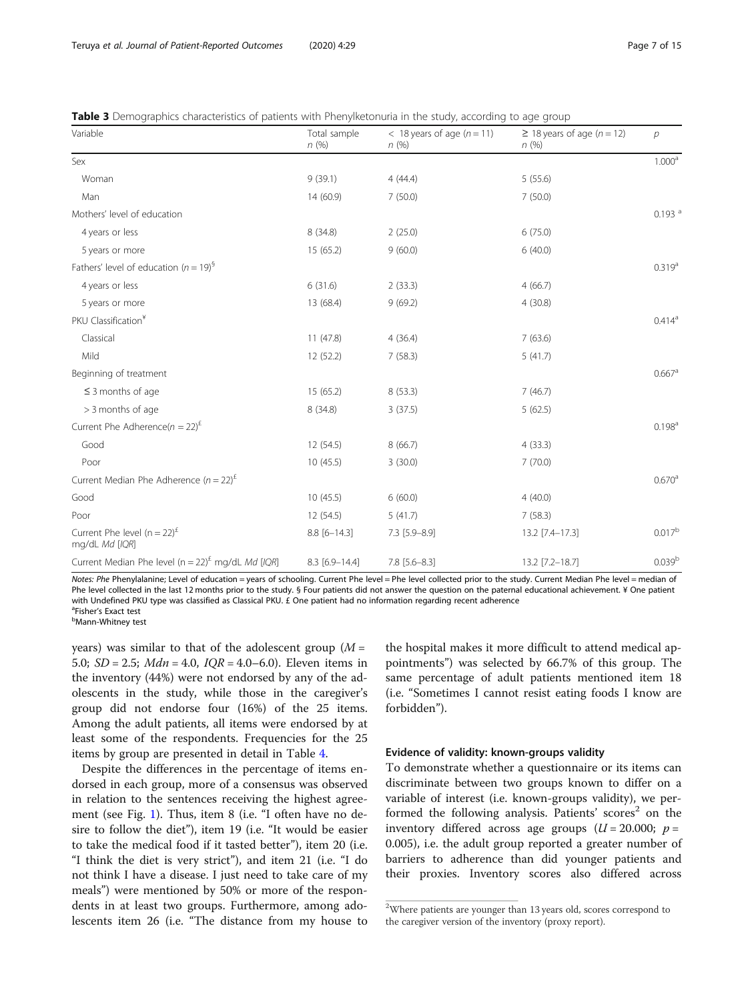<span id="page-6-0"></span>

| Table 3 Demographics characteristics of patients with Phenylketonuria in the study, according to age group |  |  |
|------------------------------------------------------------------------------------------------------------|--|--|
|                                                                                                            |  |  |

| Variable                                                          | Total sample<br>n(%) | $<$ 18 years of age ( $n = 11$ )<br>$n\ (\%)$ | $\geq$ 18 years of age (n = 12)<br>n(%) | $\overline{p}$       |
|-------------------------------------------------------------------|----------------------|-----------------------------------------------|-----------------------------------------|----------------------|
| Sex                                                               |                      |                                               |                                         | 1.000 <sup>a</sup>   |
| Woman                                                             | 9(39.1)              | 4(44.4)                                       | 5(55.6)                                 |                      |
| Man                                                               | 14 (60.9)            | 7(50.0)                                       | 7(50.0)                                 |                      |
| Mothers' level of education                                       |                      |                                               |                                         | $0.193$ <sup>a</sup> |
| 4 years or less                                                   | 8 (34.8)             | 2(25.0)                                       | 6(75.0)                                 |                      |
| 5 years or more                                                   | 15 (65.2)            | 9(60.0)                                       | 6(40.0)                                 |                      |
| Fathers' level of education ( $n = 19$ ) <sup>§</sup>             |                      |                                               |                                         | $0.319^{a}$          |
| 4 years or less                                                   | 6(31.6)              | 2(33.3)                                       | 4(66.7)                                 |                      |
| 5 years or more                                                   | 13 (68.4)            | 9(69.2)                                       | 4(30.8)                                 |                      |
| PKU Classification <sup>¥</sup>                                   |                      |                                               |                                         | $0.414^a$            |
| Classical                                                         | 11(47.8)             | 4(36.4)                                       | 7(63.6)                                 |                      |
| Mild                                                              | 12 (52.2)            | 7(58.3)                                       | 5(41.7)                                 |                      |
| Beginning of treatment                                            |                      |                                               |                                         | $0.667$ <sup>a</sup> |
| $\leq$ 3 months of age                                            | 15 (65.2)            | 8(53.3)                                       | 7(46.7)                                 |                      |
| > 3 months of age                                                 | 8 (34.8)             | 3(37.5)                                       | 5(62.5)                                 |                      |
| Current Phe Adherence( $n = 22$ ) <sup>£</sup>                    |                      |                                               |                                         | 0.198 <sup>a</sup>   |
| Good                                                              | 12 (54.5)            | 8(66.7)                                       | 4(33.3)                                 |                      |
| Poor                                                              | 10(45.5)             | 3(30.0)                                       | 7(70.0)                                 |                      |
| Current Median Phe Adherence ( $n = 22$ ) <sup>£</sup>            |                      |                                               |                                         | $0.670^{\rm a}$      |
| Good                                                              | 10(45.5)             | 6(60.0)                                       | 4(40.0)                                 |                      |
| Poor                                                              | 12 (54.5)            | 5(41.7)                                       | 7(58.3)                                 |                      |
| Current Phe level $(n = 22)^{E}$<br>mg/dL Md [IQR]                | $8.8$ [6-14.3]       | 7.3 [5.9-8.9]                                 | 13.2 [7.4-17.3]                         | $0.017^{\rm b}$      |
| Current Median Phe level ( $n = 22$ ) <sup>£</sup> mg/dL Md [IQR] | 8.3 [6.9-14.4]       | $7.8$ [5.6-8.3]                               | 13.2 [7.2-18.7]                         | 0.039 <sup>b</sup>   |

Notes: Phe Phenylalanine; Level of education = years of schooling. Current Phe level = Phe level collected prior to the study. Current Median Phe level = median of Phe level collected in the last 12 months prior to the study. § Four patients did not answer the question on the paternal educational achievement. ¥ One patient with Undefined PKU type was classified as Classical PKU. £ One patient had no information regarding recent adherence <sup>a</sup>Fisher's Exact test

<sup>a</sup>Fisher's Exact test<br><sup>b</sup>Mann-Whitney test

years) was similar to that of the adolescent group  $(M =$ 5.0;  $SD = 2.5$ ;  $Mdn = 4.0$ ,  $IQR = 4.0-6.0$ ). Eleven items in the inventory (44%) were not endorsed by any of the adolescents in the study, while those in the caregiver's group did not endorse four (16%) of the 25 items. Among the adult patients, all items were endorsed by at least some of the respondents. Frequencies for the 25 items by group are presented in detail in Table [4](#page-7-0).

Despite the differences in the percentage of items endorsed in each group, more of a consensus was observed in relation to the sentences receiving the highest agreement (see Fig. [1](#page-8-0)). Thus, item 8 (i.e. "I often have no desire to follow the diet"), item 19 (i.e. "It would be easier to take the medical food if it tasted better"), item 20 (i.e. "I think the diet is very strict"), and item 21 (i.e. "I do not think I have a disease. I just need to take care of my meals") were mentioned by 50% or more of the respondents in at least two groups. Furthermore, among adolescents item 26 (i.e. "The distance from my house to

the hospital makes it more difficult to attend medical appointments") was selected by 66.7% of this group. The same percentage of adult patients mentioned item 18 (i.e. "Sometimes I cannot resist eating foods I know are forbidden").

#### Evidence of validity: known-groups validity

To demonstrate whether a questionnaire or its items can discriminate between two groups known to differ on a variable of interest (i.e. known-groups validity), we performed the following analysis. Patients' scores<sup>2</sup> on the inventory differed across age groups  $(U = 20.000; p =$ 0.005), i.e. the adult group reported a greater number of barriers to adherence than did younger patients and their proxies. Inventory scores also differed across

<sup>&</sup>lt;sup>2</sup>Where patients are younger than 13 years old, scores correspond to the caregiver version of the inventory (proxy report).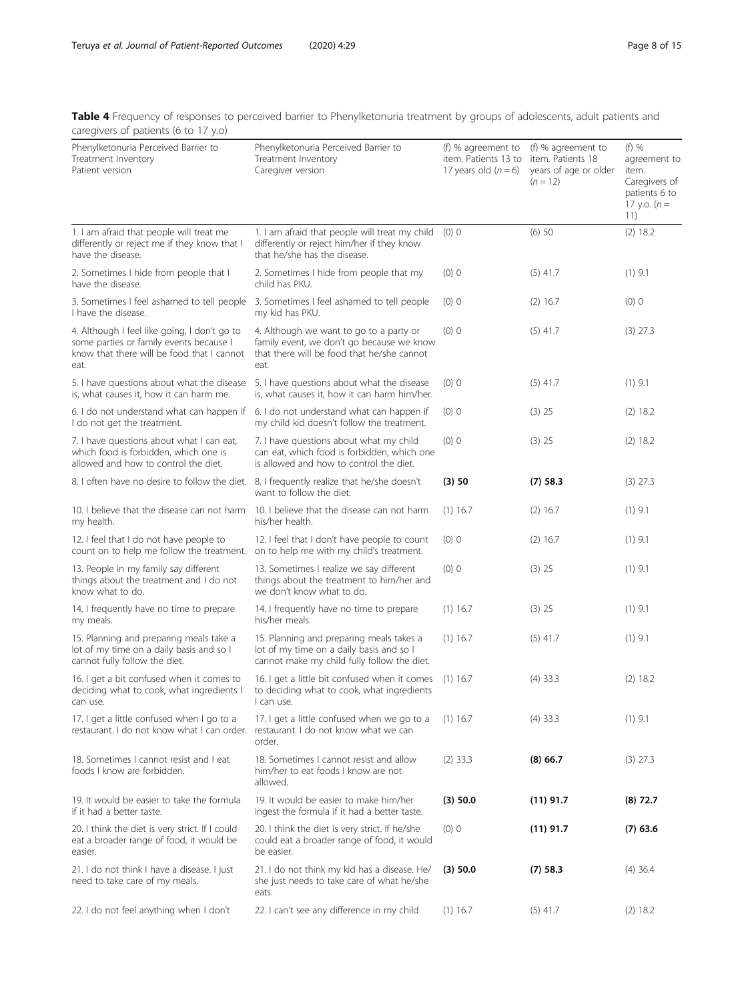<span id="page-7-0"></span>Table 4 Frequency of responses to perceived barrier to Phenylketonuria treatment by groups of adolescents, adult patients and caregivers of patients (6 to 17 y.o)

| caregrees or patients to to $\frac{1}{2}$ , $\frac{1}{2}$                                                                                     |                                                                                                                                            |                                                                      |                                                                                |                                                                                           |
|-----------------------------------------------------------------------------------------------------------------------------------------------|--------------------------------------------------------------------------------------------------------------------------------------------|----------------------------------------------------------------------|--------------------------------------------------------------------------------|-------------------------------------------------------------------------------------------|
| Phenylketonuria Perceived Barrier to<br>Treatment Inventory<br>Patient version                                                                | Phenylketonuria Perceived Barrier to<br>Treatment Inventory<br>Caregiver version                                                           | (f) % agreement to<br>item. Patients 13 to<br>17 years old $(n = 6)$ | (f) % agreement to<br>item. Patients 18<br>years of age or older<br>$(n = 12)$ | (f) %<br>agreement to<br>item.<br>Caregivers of<br>patients 6 to<br>17 y.o. $(n =$<br>11) |
| 1. I am afraid that people will treat me<br>differently or reject me if they know that I<br>have the disease.                                 | 1. I am afraid that people will treat my child<br>differently or reject him/her if they know<br>that he/she has the disease.               | (0) 0                                                                | (6) 50                                                                         | $(2)$ 18.2                                                                                |
| 2. Sometimes I hide from people that I<br>have the disease.                                                                                   | 2. Sometimes I hide from people that my<br>child has PKU.                                                                                  | (0) 0                                                                | $(5)$ 41.7                                                                     | $(1)$ 9.1                                                                                 |
| 3. Sometimes I feel ashamed to tell people<br>I have the disease.                                                                             | 3. Sometimes I feel ashamed to tell people<br>my kid has PKU.                                                                              | (0) 0                                                                | $(2)$ 16.7                                                                     | (0) 0                                                                                     |
| 4. Although I feel like going, I don't go to<br>some parties or family events because I<br>know that there will be food that I cannot<br>eat. | 4. Although we want to go to a party or<br>family event, we don't go because we know<br>that there will be food that he/she cannot<br>eat. | (0) 0                                                                | $(5)$ 41.7                                                                     | $(3)$ 27.3                                                                                |
| 5. I have questions about what the disease<br>is, what causes it, how it can harm me.                                                         | 5. I have questions about what the disease<br>is, what causes it, how it can harm him/her.                                                 | (0) 0                                                                | $(5)$ 41.7                                                                     | $(1)$ 9.1                                                                                 |
| 6. I do not understand what can happen if<br>I do not get the treatment.                                                                      | 6. I do not understand what can happen if<br>my child kid doesn't follow the treatment.                                                    | (0) 0                                                                | $(3)$ 25                                                                       | $(2)$ 18.2                                                                                |
| 7. I have questions about what I can eat,<br>which food is forbidden, which one is<br>allowed and how to control the diet.                    | 7. I have questions about what my child<br>can eat, which food is forbidden, which one<br>is allowed and how to control the diet.          | (0) 0                                                                | $(3)$ 25                                                                       | $(2)$ 18.2                                                                                |
| 8. I often have no desire to follow the diet. 8. I frequently realize that he/she doesn't                                                     | want to follow the diet.                                                                                                                   | (3) 50                                                               | $(7)$ 58.3                                                                     | $(3)$ 27.3                                                                                |
| 10. I believe that the disease can not harm<br>my health.                                                                                     | 10. I believe that the disease can not harm<br>his/her health.                                                                             | $(1)$ 16.7                                                           | $(2)$ 16.7                                                                     | $(1)$ 9.1                                                                                 |
| 12. I feel that I do not have people to<br>count on to help me follow the treatment.                                                          | 12. I feel that I don't have people to count<br>on to help me with my child's treatment.                                                   | (0) 0                                                                | $(2)$ 16.7                                                                     | $(1)$ 9.1                                                                                 |
| 13. People in my family say different<br>things about the treatment and I do not<br>know what to do.                                          | 13. Sometimes I realize we say different<br>things about the treatment to him/her and<br>we don't know what to do.                         | $(0)$ 0                                                              | $(3)$ 25                                                                       | $(1)$ 9.1                                                                                 |
| 14. I frequently have no time to prepare<br>my meals.                                                                                         | 14. I frequently have no time to prepare<br>his/her meals.                                                                                 | $(1)$ 16.7                                                           | $(3)$ 25                                                                       | $(1)$ 9.1                                                                                 |
| 15. Planning and preparing meals take a<br>lot of my time on a daily basis and so I<br>cannot fully follow the diet.                          | 15. Planning and preparing meals takes a<br>lot of my time on a daily basis and so I<br>cannot make my child fully follow the diet.        | $(1)$ 16.7                                                           | $(5)$ 41.7                                                                     | $(1)$ 9.1                                                                                 |
| 16. I get a bit confused when it comes to<br>deciding what to cook, what ingredients I<br>can use.                                            | 16. I get a little bit confused when it comes<br>to deciding what to cook, what ingredients<br>I can use.                                  | $(1)$ 16.7                                                           | $(4)$ 33.3                                                                     | (2) 18.2                                                                                  |
| 17. I get a little confused when I go to a<br>restaurant. I do not know what I can order.                                                     | 17. I get a little confused when we go to a<br>restaurant. I do not know what we can<br>order                                              | $(1)$ 16.7                                                           | $(4)$ 33.3                                                                     | $(1)$ 9.1                                                                                 |
| 18. Sometimes I cannot resist and I eat<br>foods I know are forbidden.                                                                        | 18. Sometimes I cannot resist and allow<br>him/her to eat foods I know are not<br>allowed.                                                 | $(2)$ 33.3                                                           | $(8)$ 66.7                                                                     | $(3)$ 27.3                                                                                |
| 19. It would be easier to take the formula<br>if it had a better taste.                                                                       | 19. It would be easier to make him/her<br>ingest the formula if it had a better taste.                                                     | (3) 50.0                                                             | $(11)$ 91.7                                                                    | $(8)$ 72.7                                                                                |
| 20. I think the diet is very strict. If I could<br>eat a broader range of food, it would be<br>easier.                                        | 20. I think the diet is very strict. If he/she<br>could eat a broader range of food, it would<br>be easier.                                | (0) 0                                                                | $(11)$ 91.7                                                                    | $(7)$ 63.6                                                                                |
| 21. I do not think I have a disease. I just<br>need to take care of my meals.                                                                 | 21. I do not think my kid has a disease. He/<br>she just needs to take care of what he/she<br>eats.                                        | (3) 50.0                                                             | $(7)$ 58.3                                                                     | $(4)$ 36.4                                                                                |
| 22. I do not feel anything when I don't                                                                                                       | 22. I can't see any difference in my child                                                                                                 | $(1)$ 16.7                                                           | $(5)$ 41.7                                                                     | $(2)$ 18.2                                                                                |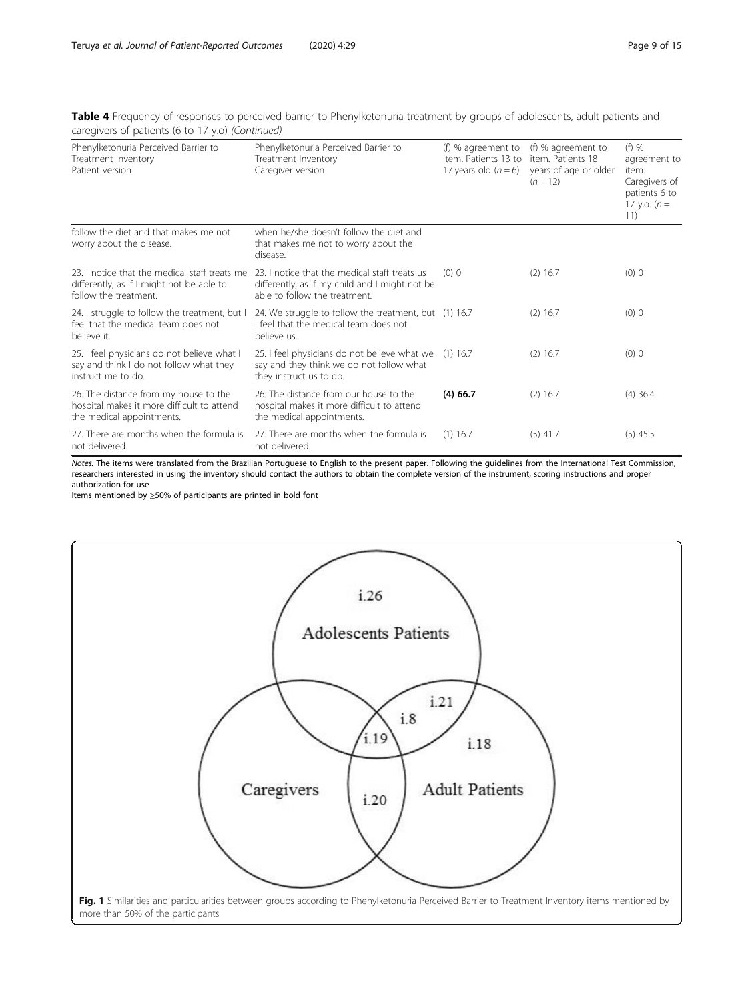<span id="page-8-0"></span>

| Table 4 Frequency of responses to perceived barrier to Phenylketonuria treatment by groups of adolescents, adult patients and |  |
|-------------------------------------------------------------------------------------------------------------------------------|--|
| caregivers of patients (6 to 17 y.o) (Continued)                                                                              |  |

| Phenylketonuria Perceived Barrier to<br>Treatment Inventory<br>Patient version                                      | Phenylketonuria Perceived Barrier to<br>Treatment Inventory<br>Caregiver version                                                 | (f) % agreement to<br>item. Patients 13 to<br>17 years old $(n=6)$ | (f) % agreement to<br>item. Patients 18<br>years of age or older<br>$(n = 12)$ | $(f)$ %<br>agreement to<br>item.<br>Caregivers of<br>patients 6 to<br>17 y.o. $(n =$<br>11) |
|---------------------------------------------------------------------------------------------------------------------|----------------------------------------------------------------------------------------------------------------------------------|--------------------------------------------------------------------|--------------------------------------------------------------------------------|---------------------------------------------------------------------------------------------|
| follow the diet and that makes me not<br>worry about the disease.                                                   | when he/she doesn't follow the diet and<br>that makes me not to worry about the<br>disease.                                      |                                                                    |                                                                                |                                                                                             |
| 23. I notice that the medical staff treats me<br>differently, as if I might not be able to<br>follow the treatment. | 23. I notice that the medical staff treats us<br>differently, as if my child and I might not be<br>able to follow the treatment. | (0) 0                                                              | $(2)$ 16.7                                                                     | $(0)$ 0                                                                                     |
| 24. I struggle to follow the treatment, but I<br>feel that the medical team does not<br>believe it.                 | 24. We struggle to follow the treatment, but (1) 16.7<br>I feel that the medical team does not<br>believe us.                    |                                                                    | $(2)$ 16.7                                                                     | $(0)$ 0                                                                                     |
| 25. I feel physicians do not believe what I<br>say and think I do not follow what they<br>instruct me to do.        | 25. I feel physicians do not believe what we (1) 16.7<br>say and they think we do not follow what<br>they instruct us to do.     |                                                                    | $(2)$ 16.7                                                                     | $(0)$ 0                                                                                     |
| 26. The distance from my house to the<br>hospital makes it more difficult to attend<br>the medical appointments.    | 26. The distance from our house to the<br>hospital makes it more difficult to attend<br>the medical appointments.                | $(4)$ 66.7                                                         | $(2)$ 16.7                                                                     | $(4)$ 36.4                                                                                  |
| 27. There are months when the formula is<br>not delivered.                                                          | 27. There are months when the formula is<br>not delivered.                                                                       | $(1)$ 16.7                                                         | $(5)$ 41.7                                                                     | $(5)$ 45.5                                                                                  |

Notes. The items were translated from the Brazilian Portuguese to English to the present paper. Following the guidelines from the International Test Commission, researchers interested in using the inventory should contact the authors to obtain the complete version of the instrument, scoring instructions and proper authorization for use

Items mentioned by ≥50% of participants are printed in bold font

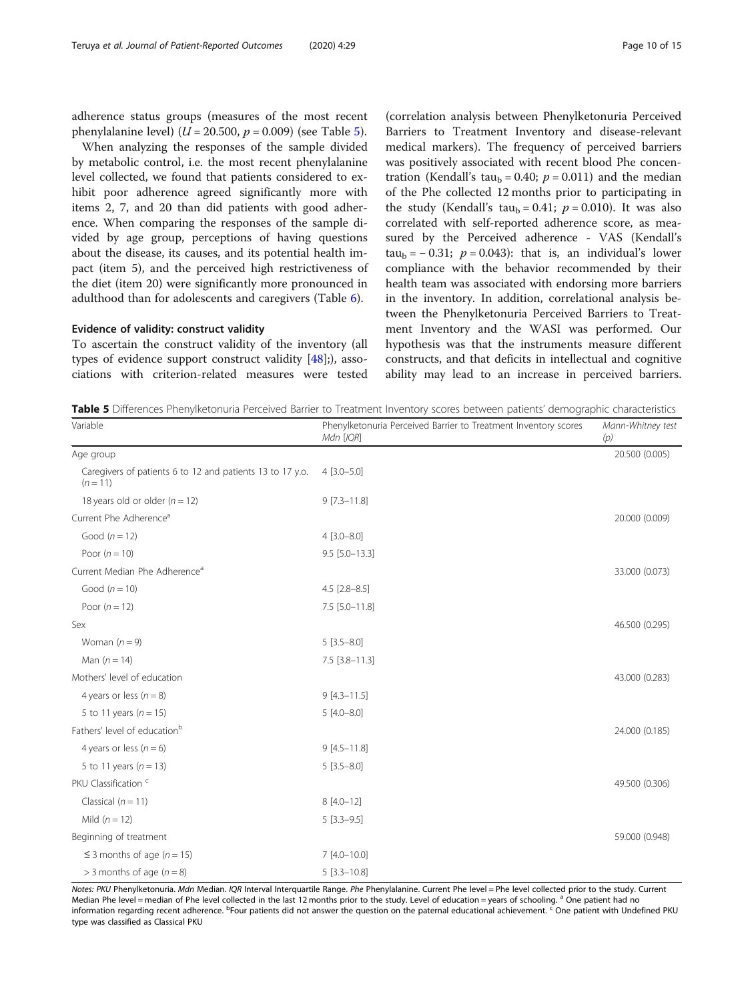<span id="page-9-0"></span>adherence status groups (measures of the most recent phenylalanine level) ( $U = 20.500$ ,  $p = 0.009$ ) (see Table 5).

When analyzing the responses of the sample divided by metabolic control, i.e. the most recent phenylalanine level collected, we found that patients considered to exhibit poor adherence agreed significantly more with items 2, 7, and 20 than did patients with good adherence. When comparing the responses of the sample divided by age group, perceptions of having questions about the disease, its causes, and its potential health impact (item 5), and the perceived high restrictiveness of the diet (item 20) were significantly more pronounced in adulthood than for adolescents and caregivers (Table [6\)](#page-10-0).

#### Evidence of validity: construct validity

To ascertain the construct validity of the inventory (all types of evidence support construct validity [[48\]](#page-14-0);), associations with criterion-related measures were tested

(correlation analysis between Phenylketonuria Perceived Barriers to Treatment Inventory and disease-relevant medical markers). The frequency of perceived barriers was positively associated with recent blood Phe concentration (Kendall's tau<sub>b</sub> = 0.40;  $p = 0.011$ ) and the median of the Phe collected 12 months prior to participating in the study (Kendall's tau<sub>b</sub> = 0.41;  $p = 0.010$ ). It was also correlated with self-reported adherence score, as measured by the Perceived adherence - VAS (Kendall's tau<sub>b</sub> = − 0.31;  $p = 0.043$ : that is, an individual's lower compliance with the behavior recommended by their health team was associated with endorsing more barriers in the inventory. In addition, correlational analysis between the Phenylketonuria Perceived Barriers to Treatment Inventory and the WASI was performed. Our hypothesis was that the instruments measure different constructs, and that deficits in intellectual and cognitive ability may lead to an increase in perceived barriers.

Table 5 Differences Phenylketonuria Perceived Barrier to Treatment Inventory scores between patients' demographic characteristics

| Variable                                                                | Phenylketonuria Perceived Barrier to Treatment Inventory scores<br>Mdn [IQR] | Mann-Whitney test<br>(p) |
|-------------------------------------------------------------------------|------------------------------------------------------------------------------|--------------------------|
| Age group                                                               |                                                                              | 20.500 (0.005)           |
| Caregivers of patients 6 to 12 and patients 13 to 17 y.o.<br>$(n = 11)$ | $4$ [3.0-5.0]                                                                |                          |
| 18 years old or older ( $n = 12$ )                                      | $9$ [7.3-11.8]                                                               |                          |
| Current Phe Adherence <sup>a</sup>                                      |                                                                              | 20.000 (0.009)           |
| Good $(n = 12)$                                                         | $4 [3.0 - 8.0]$                                                              |                          |
| Poor $(n = 10)$                                                         | $9.5$ [5.0-13.3]                                                             |                          |
| Current Median Phe Adherence <sup>a</sup>                               |                                                                              | 33.000 (0.073)           |
| Good $(n = 10)$                                                         | $4.5$ [2.8-8.5]                                                              |                          |
| Poor $(n = 12)$                                                         | 7.5 [5.0-11.8]                                                               |                          |
| Sex                                                                     |                                                                              | 46.500 (0.295)           |
| Woman $(n = 9)$                                                         | $5[3.5 - 8.0]$                                                               |                          |
| Man $(n = 14)$                                                          | 7.5 [3.8-11.3]                                                               |                          |
| Mothers' level of education                                             |                                                                              | 43.000 (0.283)           |
| 4 years or less $(n = 8)$                                               | $9[4.3 - 11.5]$                                                              |                          |
| 5 to 11 years ( $n = 15$ )                                              | $5[4.0 - 8.0]$                                                               |                          |
| Fathers' level of education <sup>b</sup>                                |                                                                              | 24.000 (0.185)           |
| 4 years or less $(n = 6)$                                               | $9 [4.5 - 11.8]$                                                             |                          |
| 5 to 11 years ( $n = 13$ )                                              | $5[3.5 - 8.0]$                                                               |                          |
| PKU Classification <sup>c</sup>                                         |                                                                              | 49.500 (0.306)           |
| Classical $(n = 11)$                                                    | $8[4.0-12]$                                                                  |                          |
| Mild $(n = 12)$                                                         | $5[3.3-9.5]$                                                                 |                          |
| Beginning of treatment                                                  |                                                                              | 59.000 (0.948)           |
| $\leq$ 3 months of age (n = 15)                                         | $7[4.0 - 10.0]$                                                              |                          |
| $>$ 3 months of age ( $n = 8$ )                                         | $5[3.3 - 10.8]$                                                              |                          |

Notes: PKU Phenylketonuria. Mdn Median. IQR Interval Interquartile Range. Phe Phenylalanine. Current Phe level = Phe level collected prior to the study. Current Median Phe level = median of Phe level collected in the last 12 months prior to the study. Level of education = years of schooling. <sup>a</sup> One patient had no information regarding recent adherence. <sup>b</sup>Four patients did not answer the question on the paternal educational achievement. <sup>C</sup> One patient with Undefined PKU type was classified as Classical PKU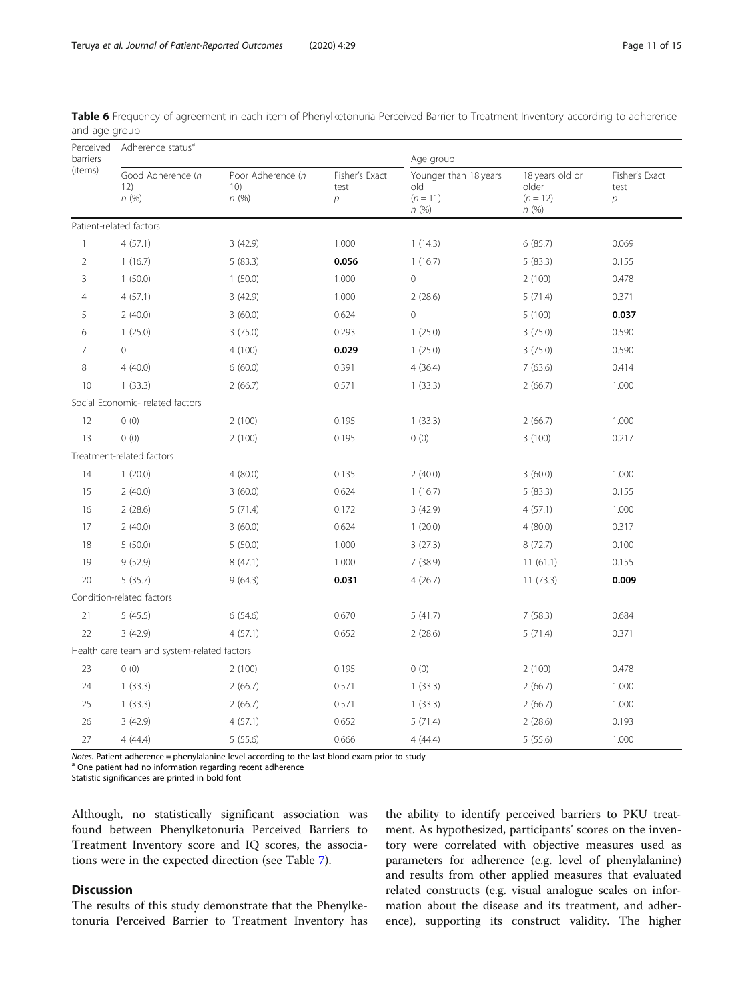| Perceived<br>barriers<br>(items) | Adherence status <sup>a</sup>               |                                      |                                          | Age group                                               |                                                |                             |  |
|----------------------------------|---------------------------------------------|--------------------------------------|------------------------------------------|---------------------------------------------------------|------------------------------------------------|-----------------------------|--|
|                                  | Good Adherence $(n =$<br>12)<br>n(%)        | Poor Adherence $(n =$<br>10)<br>n(%) | Fisher's Exact<br>test<br>$\overline{p}$ | Younger than 18 years<br>old<br>$(n = 11)$<br>$n\ (\%)$ | 18 years old or<br>older<br>$(n = 12)$<br>n(%) | Fisher's Exact<br>test<br>р |  |
|                                  | Patient-related factors                     |                                      |                                          |                                                         |                                                |                             |  |
| $\mathbf{1}$                     | 4(57.1)                                     | 3(42.9)                              | 1.000                                    | 1(14.3)                                                 | 6(85.7)                                        | 0.069                       |  |
| $\overline{2}$                   | 1(16.7)                                     | 5(83.3)                              | 0.056                                    | 1(16.7)                                                 | 5(83.3)                                        | 0.155                       |  |
| 3                                | 1(50.0)                                     | 1(50.0)                              | 1.000                                    | 0                                                       | 2(100)                                         | 0.478                       |  |
| $\overline{4}$                   | 4(57.1)                                     | 3(42.9)                              | 1.000                                    | 2(28.6)                                                 | 5(71.4)                                        | 0.371                       |  |
| 5                                | 2(40.0)                                     | 3(60.0)                              | 0.624                                    | $\mathbf 0$                                             | 5(100)                                         | 0.037                       |  |
| 6                                | 1(25.0)                                     | 3(75.0)                              | 0.293                                    | 1(25.0)                                                 | 3(75.0)                                        | 0.590                       |  |
| $\overline{7}$                   | $\overline{0}$                              | 4 (100)                              | 0.029                                    | 1(25.0)                                                 | 3(75.0)                                        | 0.590                       |  |
| 8                                | 4(40.0)                                     | 6(60.0)                              | 0.391                                    | 4(36.4)                                                 | 7(63.6)                                        | 0.414                       |  |
| 10                               | 1(33.3)                                     | 2(66.7)                              | 0.571                                    | 1(33.3)                                                 | 2(66.7)                                        | 1.000                       |  |
|                                  | Social Economic- related factors            |                                      |                                          |                                                         |                                                |                             |  |
| 12                               | 0(0)                                        | 2(100)                               | 0.195                                    | 1(33.3)                                                 | 2(66.7)                                        | 1.000                       |  |
| 13                               | 0(0)                                        | 2(100)                               | 0.195                                    | 0(0)                                                    | 3(100)                                         | 0.217                       |  |
|                                  | Treatment-related factors                   |                                      |                                          |                                                         |                                                |                             |  |
| 14                               | 1(20.0)                                     | 4(80.0)                              | 0.135                                    | 2(40.0)                                                 | 3(60.0)                                        | 1.000                       |  |
| 15                               | 2(40.0)                                     | 3(60.0)                              | 0.624                                    | 1(16.7)                                                 | 5(83.3)                                        | 0.155                       |  |
| 16                               | 2(28.6)                                     | 5(71.4)                              | 0.172                                    | 3(42.9)                                                 | 4(57.1)                                        | 1.000                       |  |
| $17\,$                           | 2(40.0)                                     | 3(60.0)                              | 0.624                                    | 1(20.0)                                                 | 4(80.0)                                        | 0.317                       |  |
| 18                               | 5(50.0)                                     | 5(50.0)                              | 1.000                                    | 3(27.3)                                                 | 8(72.7)                                        | 0.100                       |  |
| 19                               | 9(52.9)                                     | 8(47.1)                              | 1.000                                    | 7(38.9)                                                 | 11(61.1)                                       | 0.155                       |  |
| 20                               | 5(35.7)                                     | 9(64.3)                              | 0.031                                    | 4(26.7)                                                 | 11(73.3)                                       | 0.009                       |  |
|                                  | Condition-related factors                   |                                      |                                          |                                                         |                                                |                             |  |
| 21                               | 5(45.5)                                     | 6(54.6)                              | 0.670                                    | 5(41.7)                                                 | 7(58.3)                                        | 0.684                       |  |
| 22                               | 3(42.9)                                     | 4(57.1)                              | 0.652                                    | 2(28.6)                                                 | 5(71.4)                                        | 0.371                       |  |
|                                  | Health care team and system-related factors |                                      |                                          |                                                         |                                                |                             |  |
| 23                               | 0(0)                                        | 2(100)                               | 0.195                                    | 0(0)                                                    | 2(100)                                         | 0.478                       |  |
| 24                               | 1(33.3)                                     | 2(66.7)                              | 0.571                                    | 1(33.3)                                                 | 2(66.7)                                        | 1.000                       |  |
| 25                               | 1(33.3)                                     | 2(66.7)                              | 0.571                                    | 1(33.3)                                                 | 2(66.7)                                        | 1.000                       |  |
| 26                               | 3(42.9)                                     | 4(57.1)                              | 0.652                                    | 5(71.4)                                                 | 2(28.6)                                        | 0.193                       |  |
| 27                               | 4(44.4)                                     | 5(55.6)                              | 0.666                                    | 4(44.4)                                                 | 5(55.6)                                        | 1.000                       |  |

<span id="page-10-0"></span>Table 6 Frequency of agreement in each item of Phenylketonuria Perceived Barrier to Treatment Inventory according to adherence and age group

Notes. Patient adherence = phenylalanine level according to the last blood exam prior to study  $a$  One patient had no information regarding recent adherence

Statistic significances are printed in bold font

Although, no statistically significant association was found between Phenylketonuria Perceived Barriers to Treatment Inventory score and IQ scores, the associations were in the expected direction (see Table [7\)](#page-11-0).

## Discussion

The results of this study demonstrate that the Phenylketonuria Perceived Barrier to Treatment Inventory has the ability to identify perceived barriers to PKU treatment. As hypothesized, participants' scores on the inventory were correlated with objective measures used as parameters for adherence (e.g. level of phenylalanine) and results from other applied measures that evaluated related constructs (e.g. visual analogue scales on information about the disease and its treatment, and adherence), supporting its construct validity. The higher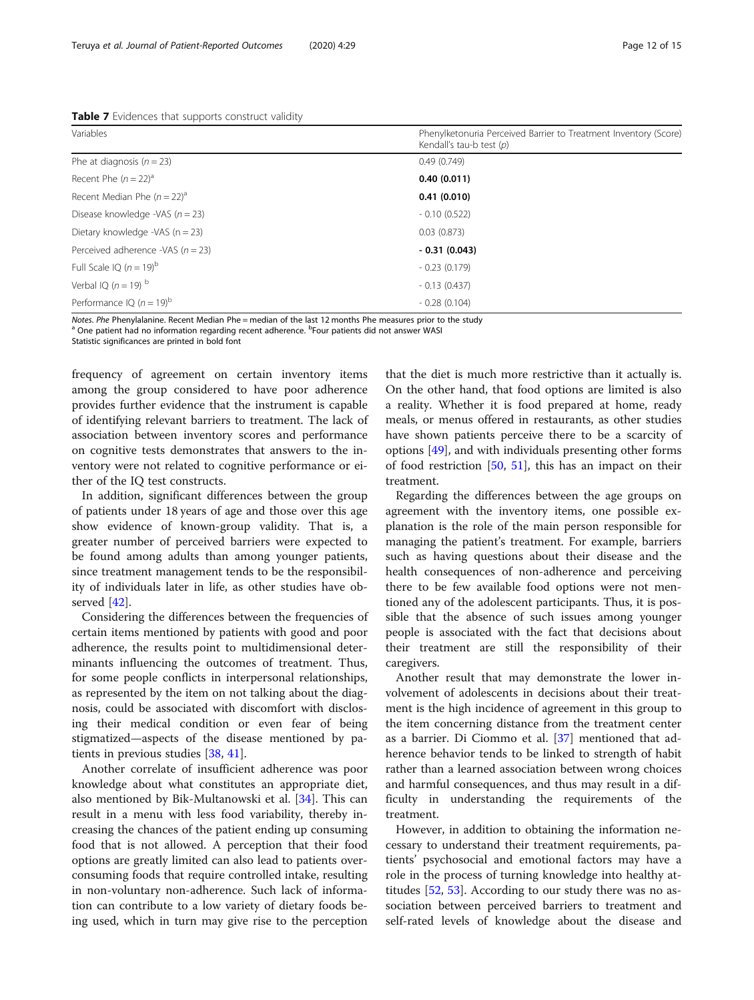<span id="page-11-0"></span>Table 7 Evidences that supports construct validity

| Variables                           | Phenylketonuria Perceived Barrier to Treatment Inventory (Score)<br>Kendall's tau-b test $(p)$ |  |  |
|-------------------------------------|------------------------------------------------------------------------------------------------|--|--|
| Phe at diagnosis ( $n = 23$ )       | 0.49(0.749)                                                                                    |  |  |
| Recent Phe $(n = 22)^a$             | 0.40(0.011)                                                                                    |  |  |
| Recent Median Phe $(n = 22)^a$      | 0.41(0.010)                                                                                    |  |  |
| Disease knowledge -VAS $(n = 23)$   | $-0.10(0.522)$                                                                                 |  |  |
| Dietary knowledge -VAS ( $n = 23$ ) | 0.03(0.873)                                                                                    |  |  |
| Perceived adherence -VAS $(n = 23)$ | $-0.31(0.043)$                                                                                 |  |  |
| Full Scale IQ $(n = 19)^{b}$        | $-0.23(0.179)$                                                                                 |  |  |
| Verbal IQ ( $n = 19$ ) b            | $-0.13(0.437)$                                                                                 |  |  |
| Performance IQ $(n = 19)^b$         | $-0.28(0.104)$                                                                                 |  |  |

N*otes. Phe* Phenylalanine. Recent Median Phe = median of the last 12 months Phe measures prior to the study<br><sup>a</sup> One patient had no information regarding recent adherence. <sup>b</sup>Four patients did not answer WASI

Statistic significances are printed in bold font

frequency of agreement on certain inventory items among the group considered to have poor adherence provides further evidence that the instrument is capable of identifying relevant barriers to treatment. The lack of association between inventory scores and performance on cognitive tests demonstrates that answers to the inventory were not related to cognitive performance or either of the IQ test constructs.

In addition, significant differences between the group of patients under 18 years of age and those over this age show evidence of known-group validity. That is, a greater number of perceived barriers were expected to be found among adults than among younger patients, since treatment management tends to be the responsibility of individuals later in life, as other studies have observed [[42\]](#page-14-0).

Considering the differences between the frequencies of certain items mentioned by patients with good and poor adherence, the results point to multidimensional determinants influencing the outcomes of treatment. Thus, for some people conflicts in interpersonal relationships, as represented by the item on not talking about the diagnosis, could be associated with discomfort with disclosing their medical condition or even fear of being stigmatized—aspects of the disease mentioned by patients in previous studies [[38,](#page-13-0) [41\]](#page-14-0).

Another correlate of insufficient adherence was poor knowledge about what constitutes an appropriate diet, also mentioned by Bik-Multanowski et al. [\[34\]](#page-13-0). This can result in a menu with less food variability, thereby increasing the chances of the patient ending up consuming food that is not allowed. A perception that their food options are greatly limited can also lead to patients overconsuming foods that require controlled intake, resulting in non-voluntary non-adherence. Such lack of information can contribute to a low variety of dietary foods being used, which in turn may give rise to the perception that the diet is much more restrictive than it actually is. On the other hand, that food options are limited is also a reality. Whether it is food prepared at home, ready meals, or menus offered in restaurants, as other studies have shown patients perceive there to be a scarcity of options [\[49\]](#page-14-0), and with individuals presenting other forms of food restriction [[50,](#page-14-0) [51\]](#page-14-0), this has an impact on their treatment.

Regarding the differences between the age groups on agreement with the inventory items, one possible explanation is the role of the main person responsible for managing the patient's treatment. For example, barriers such as having questions about their disease and the health consequences of non-adherence and perceiving there to be few available food options were not mentioned any of the adolescent participants. Thus, it is possible that the absence of such issues among younger people is associated with the fact that decisions about their treatment are still the responsibility of their caregivers.

Another result that may demonstrate the lower involvement of adolescents in decisions about their treatment is the high incidence of agreement in this group to the item concerning distance from the treatment center as a barrier. Di Ciommo et al. [\[37](#page-13-0)] mentioned that adherence behavior tends to be linked to strength of habit rather than a learned association between wrong choices and harmful consequences, and thus may result in a difficulty in understanding the requirements of the treatment.

However, in addition to obtaining the information necessary to understand their treatment requirements, patients' psychosocial and emotional factors may have a role in the process of turning knowledge into healthy attitudes [[52](#page-14-0), [53](#page-14-0)]. According to our study there was no association between perceived barriers to treatment and self-rated levels of knowledge about the disease and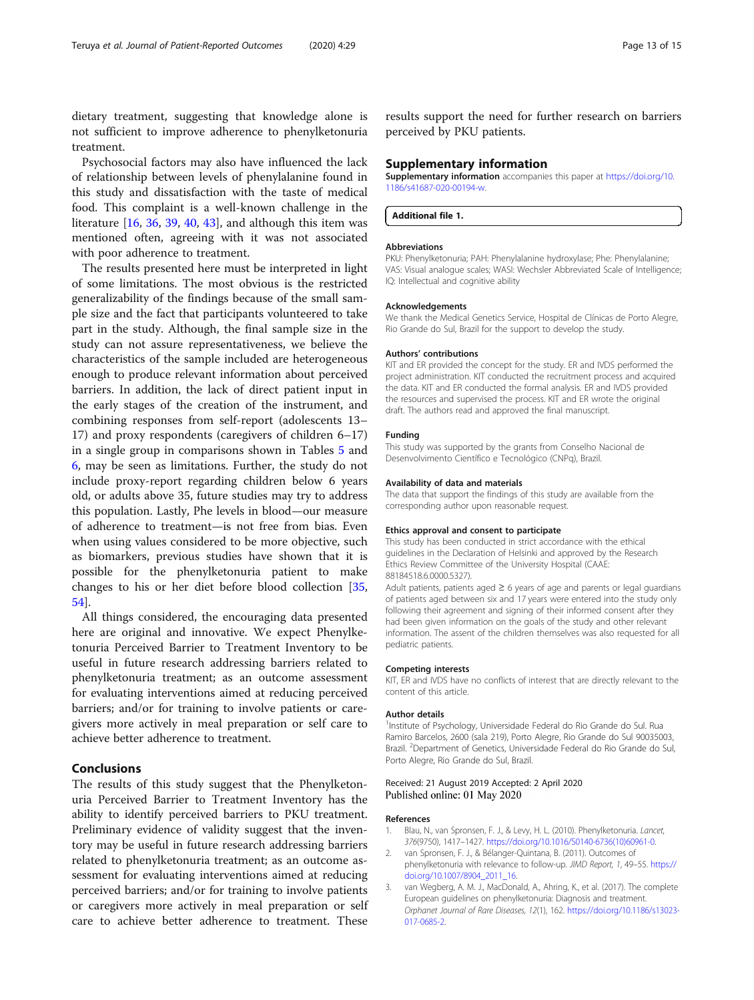<span id="page-12-0"></span>dietary treatment, suggesting that knowledge alone is not sufficient to improve adherence to phenylketonuria treatment.

Psychosocial factors may also have influenced the lack of relationship between levels of phenylalanine found in this study and dissatisfaction with the taste of medical food. This complaint is a well-known challenge in the literature [\[16](#page-13-0), [36](#page-13-0), [39](#page-13-0), [40](#page-13-0), [43](#page-14-0)], and although this item was mentioned often, agreeing with it was not associated with poor adherence to treatment.

The results presented here must be interpreted in light of some limitations. The most obvious is the restricted generalizability of the findings because of the small sample size and the fact that participants volunteered to take part in the study. Although, the final sample size in the study can not assure representativeness, we believe the characteristics of the sample included are heterogeneous enough to produce relevant information about perceived barriers. In addition, the lack of direct patient input in the early stages of the creation of the instrument, and combining responses from self-report (adolescents 13– 17) and proxy respondents (caregivers of children 6–17) in a single group in comparisons shown in Tables [5](#page-9-0) and [6,](#page-10-0) may be seen as limitations. Further, the study do not include proxy-report regarding children below 6 years old, or adults above 35, future studies may try to address this population. Lastly, Phe levels in blood—our measure of adherence to treatment—is not free from bias. Even when using values considered to be more objective, such as biomarkers, previous studies have shown that it is possible for the phenylketonuria patient to make changes to his or her diet before blood collection [[35](#page-13-0), [54\]](#page-14-0).

All things considered, the encouraging data presented here are original and innovative. We expect Phenylketonuria Perceived Barrier to Treatment Inventory to be useful in future research addressing barriers related to phenylketonuria treatment; as an outcome assessment for evaluating interventions aimed at reducing perceived barriers; and/or for training to involve patients or caregivers more actively in meal preparation or self care to achieve better adherence to treatment.

#### Conclusions

The results of this study suggest that the Phenylketonuria Perceived Barrier to Treatment Inventory has the ability to identify perceived barriers to PKU treatment. Preliminary evidence of validity suggest that the inventory may be useful in future research addressing barriers related to phenylketonuria treatment; as an outcome assessment for evaluating interventions aimed at reducing perceived barriers; and/or for training to involve patients or caregivers more actively in meal preparation or self care to achieve better adherence to treatment. These

results support the need for further research on barriers perceived by PKU patients.

#### Supplementary information

Supplementary information accompanies this paper at [https://doi.org/10.](https://doi.org/10.1186/s41687-020-00194-w) [1186/s41687-020-00194-w](https://doi.org/10.1186/s41687-020-00194-w).

Additional file 1.

#### Abbreviations

PKU: Phenylketonuria; PAH: Phenylalanine hydroxylase; Phe: Phenylalanine; VAS: Visual analogue scales; WASI: Wechsler Abbreviated Scale of Intelligence; IQ: Intellectual and cognitive ability

#### Acknowledgements

We thank the Medical Genetics Service, Hospital de Clínicas de Porto Alegre, Rio Grande do Sul, Brazil for the support to develop the study.

#### Authors' contributions

KIT and ER provided the concept for the study. ER and IVDS performed the project administration. KIT conducted the recruitment process and acquired the data. KIT and ER conducted the formal analysis. ER and IVDS provided the resources and supervised the process. KIT and ER wrote the original draft. The authors read and approved the final manuscript.

#### Funding

This study was supported by the grants from Conselho Nacional de Desenvolvimento Científico e Tecnológico (CNPq), Brazil.

#### Availability of data and materials

The data that support the findings of this study are available from the corresponding author upon reasonable request.

#### Ethics approval and consent to participate

This study has been conducted in strict accordance with the ethical guidelines in the Declaration of Helsinki and approved by the Research Ethics Review Committee of the University Hospital (CAAE: 88184518.6.0000.5327).

Adult patients, patients aged  $\geq 6$  years of age and parents or legal guardians of patients aged between six and 17 years were entered into the study only following their agreement and signing of their informed consent after they had been given information on the goals of the study and other relevant information. The assent of the children themselves was also requested for all pediatric patients.

#### Competing interests

KIT, ER and IVDS have no conflicts of interest that are directly relevant to the content of this article.

#### Author details

<sup>1</sup>Institute of Psychology, Universidade Federal do Rio Grande do Sul. Rua Ramiro Barcelos, 2600 (sala 219), Porto Alegre, Rio Grande do Sul 90035003, Brazil. <sup>2</sup>Department of Genetics, Universidade Federal do Rio Grande do Sul Porto Alegre, Rio Grande do Sul, Brazil.

#### Received: 21 August 2019 Accepted: 2 April 2020 Published online: 01 May 2020

#### References

- 1. Blau, N., van Spronsen, F. J., & Levy, H. L. (2010). Phenylketonuria. Lancet, 376(9750), 1417–1427. [https://doi.org/10.1016/S0140-6736\(10\)60961-0](https://doi.org/10.1016/S0140-6736(10)60961-0).
- 2. van Spronsen, F. J., & Bélanger-Quintana, B. (2011). Outcomes of phenylketonuria with relevance to follow-up. JIMD Report, 1, 49–55. [https://](https://doi.org/10.1007/8904_2011_16) [doi.org/10.1007/8904\\_2011\\_16.](https://doi.org/10.1007/8904_2011_16)
- 3. van Wegberg, A. M. J., MacDonald, A., Ahring, K., et al. (2017). The complete European guidelines on phenylketonuria: Diagnosis and treatment. Orphanet Journal of Rare Diseases, 12(1), 162. [https://doi.org/10.1186/s13023-](https://doi.org/10.1186/s13023-017-0685-2) [017-0685-2](https://doi.org/10.1186/s13023-017-0685-2).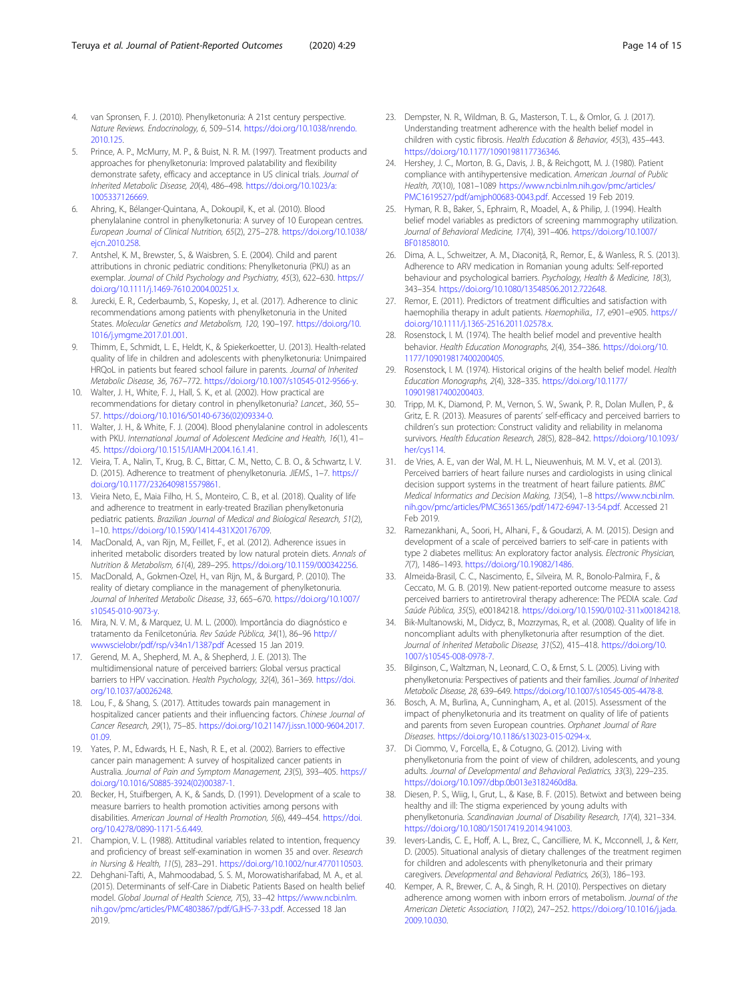- <span id="page-13-0"></span>4. van Spronsen, F. J. (2010). Phenylketonuria: A 21st century perspective. Nature Reviews. Endocrinology, 6, 509–514. [https://doi.org/10.1038/nrendo.](https://doi.org/10.1038/nrendo.2010.125) [2010.125.](https://doi.org/10.1038/nrendo.2010.125)
- 5. Prince, A. P., McMurry, M. P., & Buist, N. R. M. (1997). Treatment products and approaches for phenylketonuria: Improved palatability and flexibility demonstrate safety, efficacy and acceptance in US clinical trials. Journal of Inherited Metabolic Disease, 20(4), 486–498. [https://doi.org/10.1023/a:](https://doi.org/10.1023/a:1005337126669) [1005337126669](https://doi.org/10.1023/a:1005337126669).
- 6. Ahring, K., Bélanger-Quintana, A., Dokoupil, K., et al. (2010). Blood phenylalanine control in phenylketonuria: A survey of 10 European centres. European Journal of Clinical Nutrition, 65(2), 275–278. [https://doi.org/10.1038/](https://doi.org/10.1038/ejcn.2010.258) [ejcn.2010.258.](https://doi.org/10.1038/ejcn.2010.258)
- 7. Antshel, K. M., Brewster, S., & Waisbren, S. E. (2004). Child and parent attributions in chronic pediatric conditions: Phenylketonuria (PKU) as an exemplar. Journal of Child Psychology and Psychiatry, 45(3), 622–630. [https://](https://doi.org/10.1111/j.1469-7610.2004.00251.x) [doi.org/10.1111/j.1469-7610.2004.00251.x.](https://doi.org/10.1111/j.1469-7610.2004.00251.x)
- 8. Jurecki, E. R., Cederbaumb, S., Kopesky, J., et al. (2017). Adherence to clinic recommendations among patients with phenylketonuria in the United States. Molecular Genetics and Metabolism, 120, 190–197. [https://doi.org/10.](https://doi.org/10.1016/j.ymgme.2017.01.001) [1016/j.ymgme.2017.01.001.](https://doi.org/10.1016/j.ymgme.2017.01.001)
- Thimm, E., Schmidt, L. E., Heldt, K., & Spiekerkoetter, U. (2013). Health-related quality of life in children and adolescents with phenylketonuria: Unimpaired HRQoL in patients but feared school failure in parents. Journal of Inherited Metabolic Disease, 36, 767–772. [https://doi.org/10.1007/s10545-012-9566-y.](https://doi.org/10.1007/s10545-012-9566-y)
- 10. Walter, J. H., White, F. J., Hall, S. K., et al. (2002). How practical are recommendations for dietary control in phenylketonuria? Lancet., 360, 55– 57. [https://doi.org/10.1016/S0140-6736\(02\)09334-0.](https://doi.org/10.1016/S0140-6736(02)09334-0)
- 11. Walter, J. H., & White, F. J. (2004). Blood phenylalanine control in adolescents with PKU. International Journal of Adolescent Medicine and Health, 16(1), 41– 45. [https://doi.org/10.1515/IJAMH.2004.16.1.41.](https://doi.org/10.1515/IJAMH.2004.16.1.41)
- 12. Vieira, T. A., Nalin, T., Krug, B. C., Bittar, C. M., Netto, C. B. O., & Schwartz, I. V. D. (2015). Adherence to treatment of phenylketonuria. JIEMS., 1-7. [https://](https://doi.org/10.1177/2326409815579861) [doi.org/10.1177/2326409815579861.](https://doi.org/10.1177/2326409815579861)
- 13. Vieira Neto, E., Maia Filho, H. S., Monteiro, C. B., et al. (2018). Quality of life and adherence to treatment in early-treated Brazilian phenylketonuria pediatric patients. Brazilian Journal of Medical and Biological Research, 51(2), 1–10. <https://doi.org/10.1590/1414-431X20176709>.
- 14. MacDonald, A., van Rijn, M., Feillet, F., et al. (2012). Adherence issues in inherited metabolic disorders treated by low natural protein diets. Annals of Nutrition & Metabolism, 61(4), 289–295. <https://doi.org/10.1159/000342256>.
- 15. MacDonald, A., Gokmen-Ozel, H., van Rijn, M., & Burgard, P. (2010). The reality of dietary compliance in the management of phenylketonuria. Journal of Inherited Metabolic Disease, 33, 665–670. [https://doi.org/10.1007/](https://doi.org/10.1007/s10545-010-9073-y) [s10545-010-9073-y.](https://doi.org/10.1007/s10545-010-9073-y)
- 16. Mira, N. V. M., & Marquez, U. M. L. (2000). Importância do diagnóstico e tratamento da Fenilcetonúria. Rev Saúde Pública, 34(1), 86–96 [http://](http://www.scielo.br/pdf/rsp/v34n1/1387.pdf) [wwwscielobr/pdf/rsp/v34n1/1387pdf](http://www.scielo.br/pdf/rsp/v34n1/1387.pdf) Acessed 15 Jan 2019.
- 17. Gerend, M. A., Shepherd, M. A., & Shepherd, J. E. (2013). The multidimensional nature of perceived barriers: Global versus practical barriers to HPV vaccination. Health Psychology, 32(4), 361-369. [https://doi.](https://doi.org/10.1037/a0026248) [org/10.1037/a0026248](https://doi.org/10.1037/a0026248).
- 18. Lou, F., & Shang, S. (2017). Attitudes towards pain management in hospitalized cancer patients and their influencing factors. Chinese Journal of Cancer Research, 29(1), 75–85. [https://doi.org/10.21147/j.issn.1000-9604.2017.](https://doi.org/10.21147/j.issn.1000-9604.2017.01.09) [01.09.](https://doi.org/10.21147/j.issn.1000-9604.2017.01.09)
- 19. Yates, P. M., Edwards, H. E., Nash, R. E., et al. (2002). Barriers to effective cancer pain management: A survey of hospitalized cancer patients in Australia. Journal of Pain and Symptom Management, 23(5), 393–405. [https://](https://doi.org/10.1016/S0885-3924(02)00387-1) [doi.org/10.1016/S0885-3924\(02\)00387-1](https://doi.org/10.1016/S0885-3924(02)00387-1).
- 20. Becker, H., Stuifbergen, A. K., & Sands, D. (1991). Development of a scale to measure barriers to health promotion activities among persons with disabilities. American Journal of Health Promotion, 5(6), 449–454. [https://doi.](https://doi.org/10.4278/0890-1171-5.6.449) [org/10.4278/0890-1171-5.6.449.](https://doi.org/10.4278/0890-1171-5.6.449)
- 21. Champion, V. L. (1988). Attitudinal variables related to intention, frequency and proficiency of breast self-examination in women 35 and over. Research in Nursing & Health, 11(5), 283–291. [https://doi.org/10.1002/nur.4770110503.](https://doi.org/10.1002/nur.4770110503)
- 22. Dehghani-Tafti, A., Mahmoodabad, S. S. M., Morowatisharifabad, M. A., et al. (2015). Determinants of self-Care in Diabetic Patients Based on health belief model. Global Journal of Health Science, 7(5), 33–42 [https://www.ncbi.nlm.](https://www.ncbi.nlm.nih.gov/pmc/articles/PMC4803867/pdf/GJHS-7-33.pdf) [nih.gov/pmc/articles/PMC4803867/pdf/GJHS-7-33.pdf](https://www.ncbi.nlm.nih.gov/pmc/articles/PMC4803867/pdf/GJHS-7-33.pdf). Accessed 18 Jan 2019.
- 23. Dempster, N. R., Wildman, B. G., Masterson, T. L., & Omlor, G. J. (2017). Understanding treatment adherence with the health belief model in children with cystic fibrosis. Health Education & Behavior, 45(3), 435–443. [https://doi.org/10.1177/1090198117736346.](https://doi.org/10.1177/1090198117736346)
- 24. Hershey, J. C., Morton, B. G., Davis, J. B., & Reichgott, M. J. (1980). Patient compliance with antihypertensive medication. American Journal of Public Health, 70(10), 1081–1089 [https://www.ncbi.nlm.nih.gov/pmc/articles/](https://www.ncbi.nlm.nih.gov/pmc/articles/PMC1619527/pdf/amjph00683-0043.pdf) [PMC1619527/pdf/amjph00683-0043.pdf.](https://www.ncbi.nlm.nih.gov/pmc/articles/PMC1619527/pdf/amjph00683-0043.pdf) Accessed 19 Feb 2019.
- 25. Hyman, R. B., Baker, S., Ephraim, R., Moadel, A., & Philip, J. (1994). Health belief model variables as predictors of screening mammography utilization. Journal of Behavioral Medicine, 17(4), 391–406. [https://doi.org/10.1007/](https://doi.org/10.1007/BF01858010) [BF01858010.](https://doi.org/10.1007/BF01858010)
- 26. Dima, A. L., Schweitzer, A. M., Diaconiţǎ, R., Remor, E., & Wanless, R. S. (2013). Adherence to ARV medication in Romanian young adults: Self-reported behaviour and psychological barriers. Psychology, Health & Medicine, 18(3), 343–354. <https://doi.org/10.1080/13548506.2012.722648>.
- 27. Remor, E. (2011). Predictors of treatment difficulties and satisfaction with haemophilia therapy in adult patients. Haemophilia., 17, e901-e905. [https://](https://doi.org/10.1111/j.1365-2516.2011.02578.x) [doi.org/10.1111/j.1365-2516.2011.02578.x.](https://doi.org/10.1111/j.1365-2516.2011.02578.x)
- 28. Rosenstock, I. M. (1974). The health belief model and preventive health behavior. Health Education Monographs, 2(4), 354–386. [https://doi.org/10.](https://doi.org/10.1177/109019817400200405) [1177/109019817400200405](https://doi.org/10.1177/109019817400200405).
- 29. Rosenstock, I. M. (1974). Historical origins of the health belief model. Health Education Monographs, 2(4), 328–335. [https://doi.org/10.1177/](https://doi.org/10.1177/109019817400200403) [109019817400200403](https://doi.org/10.1177/109019817400200403).
- 30. Tripp, M. K., Diamond, P. M., Vernon, S. W., Swank, P. R., Dolan Mullen, P., & Gritz, E. R. (2013). Measures of parents' self-efficacy and perceived barriers to children's sun protection: Construct validity and reliability in melanoma survivors. Health Education Research, 28(5), 828–842. [https://doi.org/10.1093/](https://doi.org/10.1093/her/cys114) [her/cys114.](https://doi.org/10.1093/her/cys114)
- 31. de Vries, A. E., van der Wal, M. H. L., Nieuwenhuis, M. M. V., et al. (2013). Perceived barriers of heart failure nurses and cardiologists in using clinical decision support systems in the treatment of heart failure patients. BMC Medical Informatics and Decision Making, 13(54), 1–8 [https://www.ncbi.nlm.](https://www.ncbi.nlm.nih.gov/pmc/articles/PMC3651365/pdf/1472-6947-13-54.pdf) [nih.gov/pmc/articles/PMC3651365/pdf/1472-6947-13-54.pdf.](https://www.ncbi.nlm.nih.gov/pmc/articles/PMC3651365/pdf/1472-6947-13-54.pdf) Accessed 21 Feb 2019.
- 32. Ramezankhani, A., Soori, H., Alhani, F., & Goudarzi, A. M. (2015). Design and development of a scale of perceived barriers to self-care in patients with type 2 diabetes mellitus: An exploratory factor analysis. Electronic Physician, 7(7), 1486–1493. [https://doi.org/10.19082/1486.](https://doi.org/10.19082/1486)
- 33. Almeida-Brasil, C. C., Nascimento, E., Silveira, M. R., Bonolo-Palmira, F., & Ceccato, M. G. B. (2019). New patient-reported outcome measure to assess perceived barriers to antiretroviral therapy adherence: The PEDIA scale. Cad Saúde Pública, 35(5), e00184218. <https://doi.org/10.1590/0102-311x00184218>.
- 34. Bik-Multanowski, M., Didycz, B., Mozrzymas, R., et al. (2008). Quality of life in noncompliant adults with phenylketonuria after resumption of the diet. Journal of Inherited Metabolic Disease, 31(S2), 415–418. [https://doi.org/10.](https://doi.org/10.1007/s10545-008-0978-7) [1007/s10545-008-0978-7](https://doi.org/10.1007/s10545-008-0978-7).
- 35. Bilginson, C., Waltzman, N., Leonard, C. O., & Ernst, S. L. (2005). Living with phenylketonuria: Perspectives of patients and their families. Journal of Inherited Metabolic Disease, 28, 639–649. [https://doi.org/10.1007/s10545-005-4478-8.](https://doi.org/10.1007/s10545-005-4478-8)
- 36. Bosch, A. M., Burlina, A., Cunningham, A., et al. (2015). Assessment of the impact of phenylketonuria and its treatment on quality of life of patients and parents from seven European countries. Orphanet Journal of Rare Diseases. [https://doi.org/10.1186/s13023-015-0294-x.](https://doi.org/10.1186/s13023-015-0294-x)
- 37. Di Ciommo, V., Forcella, E., & Cotugno, G. (2012). Living with phenylketonuria from the point of view of children, adolescents, and young adults. Journal of Developmental and Behavioral Pediatrics, 33(3), 229–235. [https://doi.org/10.1097/dbp.0b013e3182460d8a.](https://doi.org/10.1097/dbp.0b013e3182460d8a)
- 38. Diesen, P. S., Wiig, I., Grut, L., & Kase, B. F. (2015). Betwixt and between being healthy and ill: The stigma experienced by young adults with phenylketonuria. Scandinavian Journal of Disability Research, 17(4), 321–334. [https://doi.org/10.1080/15017419.2014.941003.](https://doi.org/10.1080/15017419.2014.941003)
- 39. Ievers-Landis, C. E., Hoff, A. L., Brez, C., Cancilliere, M. K., Mcconnell, J., & Kerr, D. (2005). Situational analysis of dietary challenges of the treatment regimen for children and adolescents with phenylketonuria and their primary caregivers. Developmental and Behavioral Pediatrics, 26(3), 186–193.
- 40. Kemper, A. R., Brewer, C. A., & Singh, R. H. (2010). Perspectives on dietary adherence among women with inborn errors of metabolism. Journal of the American Dietetic Association, 110(2), 247–252. [https://doi.org/10.1016/j.jada.](https://doi.org/10.1016/j.jada.2009.10.030) [2009.10.030.](https://doi.org/10.1016/j.jada.2009.10.030)